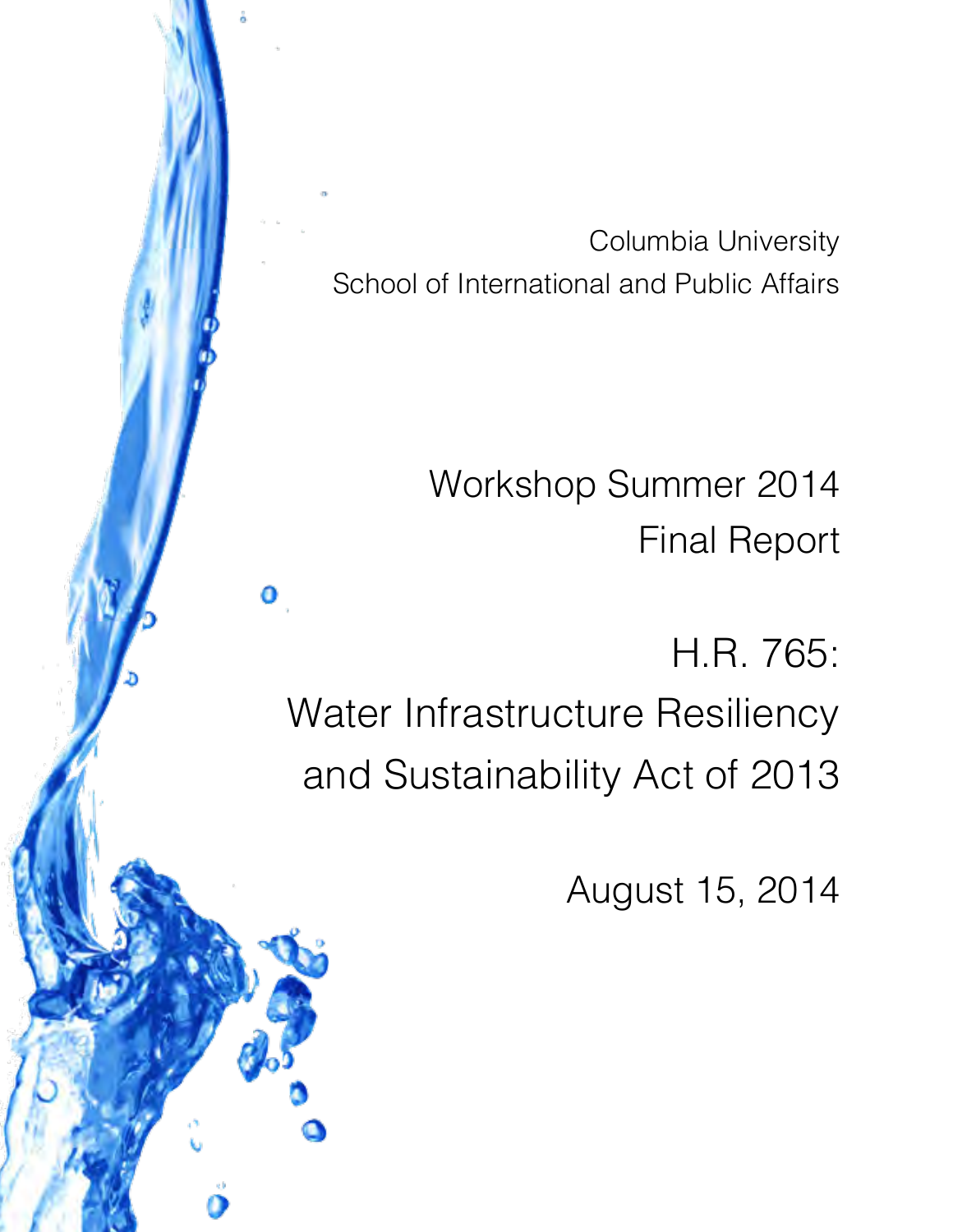Columbia University School of International and Public Affairs

> Workshop Summer 2014 Final Report

H.R. 765: Water Infrastructure Resiliency and Sustainability Act of 2013

۱

0

August 15, 2014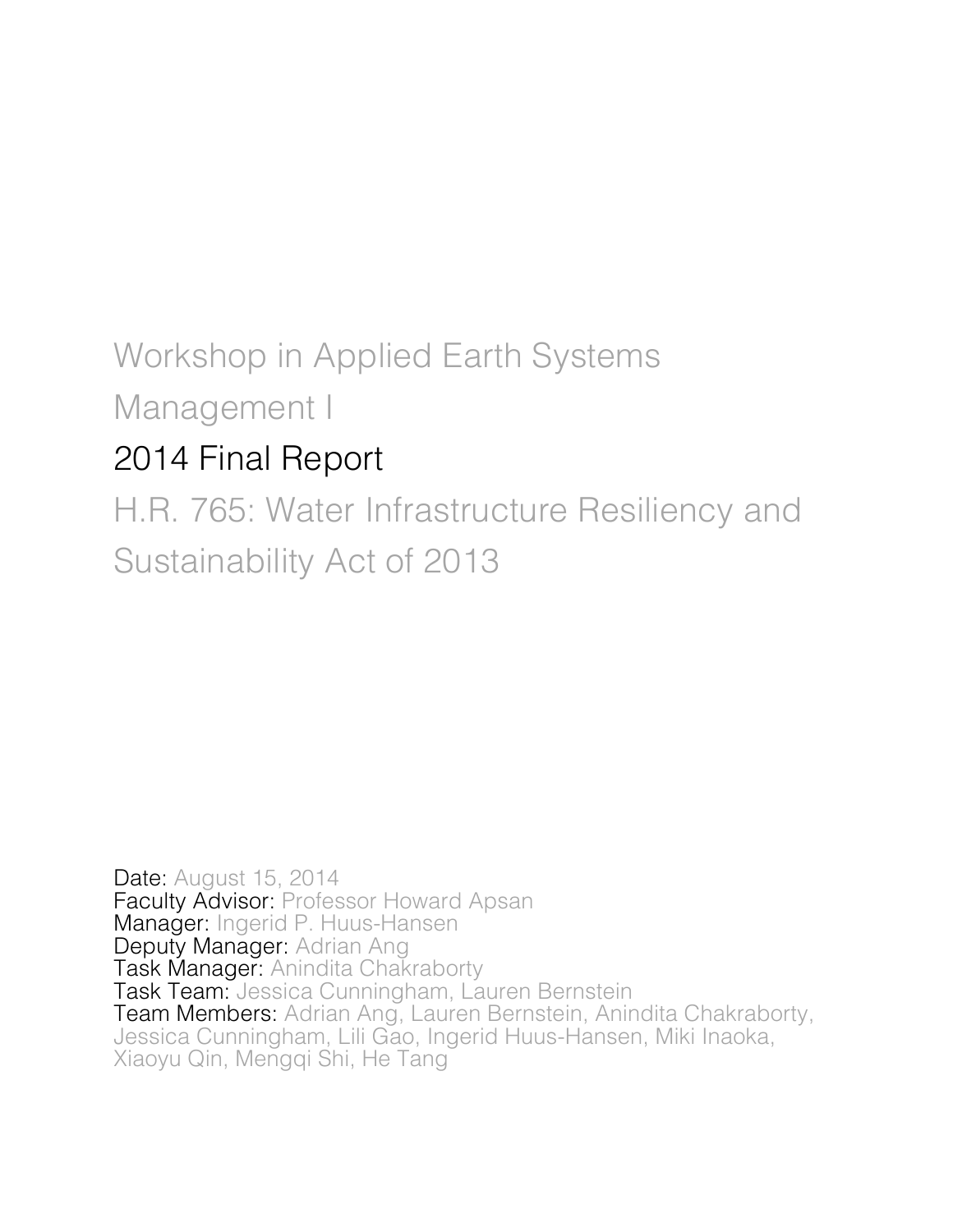# Workshop in Applied Earth Systems

Management I

## 2014 Final Report

H.R. 765: Water Infrastructure Resiliency and Sustainability Act of 2013

Date: August 15, 2014 Faculty Advisor: Professor Howard Apsan Manager: Ingerid P. Huus-Hansen Deputy Manager: Adrian Ang Task Manager: Anindita Chakraborty Task Team: Jessica Cunningham, Lauren Bernstein Team Members: Adrian Ang, Lauren Bernstein, Anindita Chakraborty, Jessica Cunningham, Lili Gao, Ingerid Huus-Hansen, Miki Inaoka, Xiaoyu Qin, Mengqi Shi, He Tang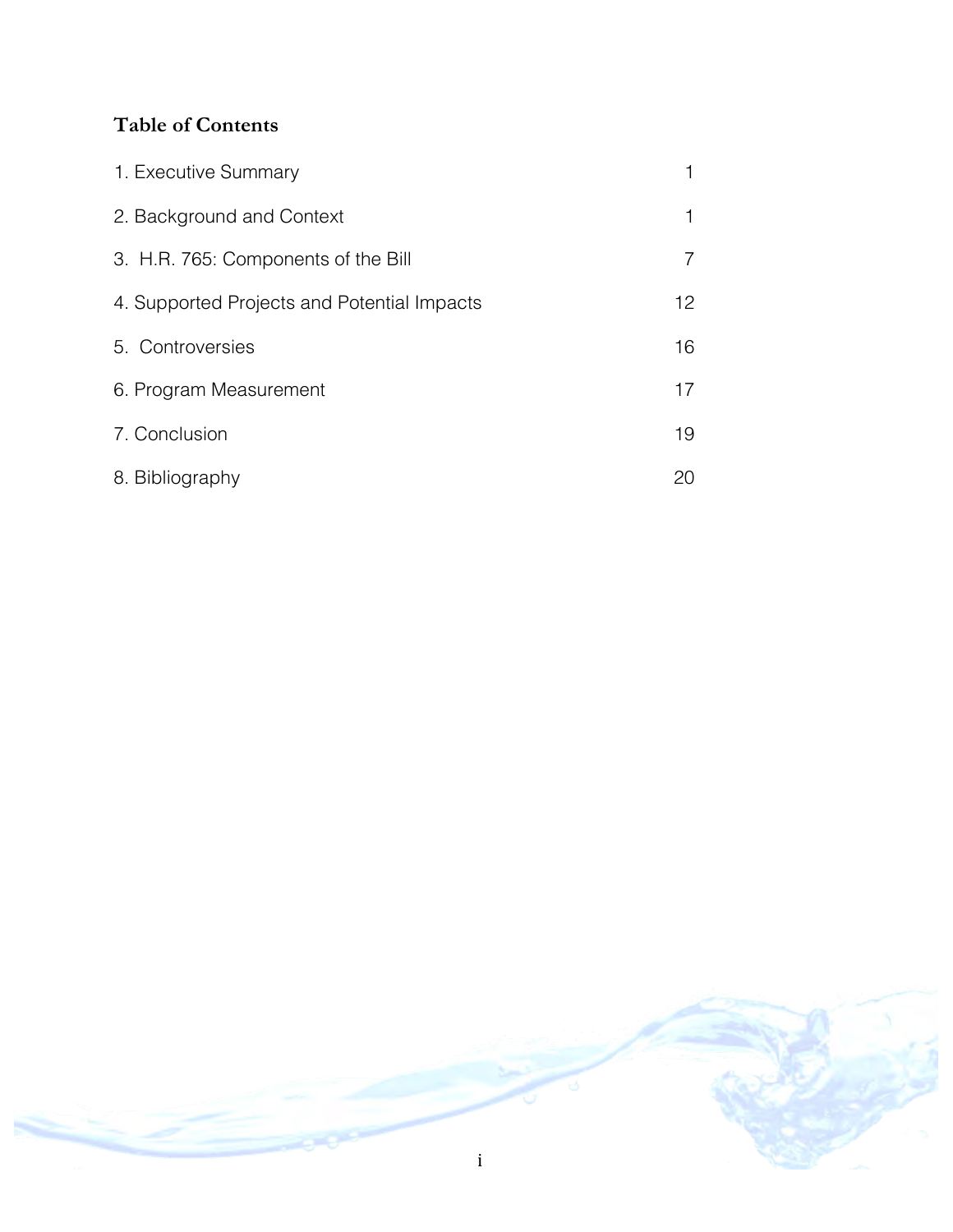## **Table of Contents**

| 1. Executive Summary                        |    |
|---------------------------------------------|----|
| 2. Background and Context                   |    |
| 3. H.R. 765: Components of the Bill         |    |
| 4. Supported Projects and Potential Impacts | 12 |
| 5. Controversies                            | 16 |
| 6. Program Measurement                      | 17 |
| 7. Conclusion                               | 19 |
| 8. Bibliography                             | 20 |

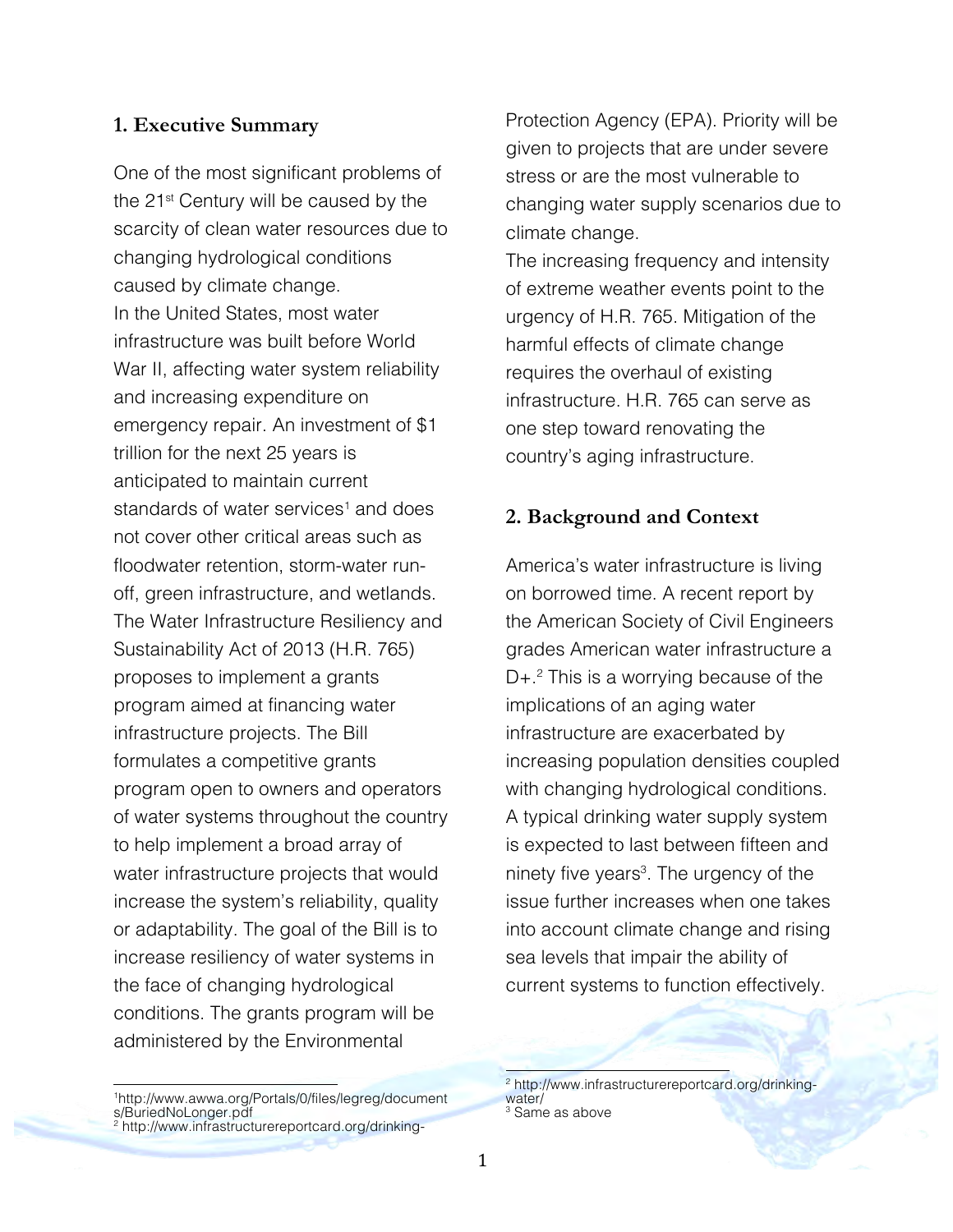#### **1. Executive Summary**

One of the most significant problems of the 21<sup>st</sup> Century will be caused by the scarcity of clean water resources due to changing hydrological conditions caused by climate change. In the United States, most water infrastructure was built before World War II, affecting water system reliability and increasing expenditure on emergency repair. An investment of \$1 trillion for the next 25 years is anticipated to maintain current standards of water services<sup>1</sup> and does not cover other critical areas such as floodwater retention, storm-water runoff, green infrastructure, and wetlands. The Water Infrastructure Resiliency and Sustainability Act of 2013 (H.R. 765) proposes to implement a grants program aimed at financing water infrastructure projects. The Bill formulates a competitive grants program open to owners and operators of water systems throughout the country to help implement a broad array of water infrastructure projects that would increase the system's reliability, quality or adaptability. The goal of the Bill is to increase resiliency of water systems in the face of changing hydrological conditions. The grants program will be administered by the Environmental

Protection Agency (EPA). Priority will be given to projects that are under severe stress or are the most vulnerable to changing water supply scenarios due to climate change.

The increasing frequency and intensity of extreme weather events point to the urgency of H.R. 765. Mitigation of the harmful effects of climate change requires the overhaul of existing infrastructure. H.R. 765 can serve as one step toward renovating the country's aging infrastructure.

## **2. Background and Context**

America's water infrastructure is living on borrowed time. A recent report by the American Society of Civil Engineers grades American water infrastructure a  $D+<sup>2</sup>$  This is a worrying because of the implications of an aging water infrastructure are exacerbated by increasing population densities coupled with changing hydrological conditions. A typical drinking water supply system is expected to last between fifteen and ninety five years<sup>3</sup>. The urgency of the issue further increases when one takes into account climate change and rising sea levels that impair the ability of current systems to function effectively.

<sup>1&</sup>lt;br>http://www.awwa.org/Portals/0/files/legreg/document s/BuriedNoLonger.pdf <sup>2</sup> http://www.infrastructurereportcard.org/drinking-

<sup>!!!!!!!!!!!!!!!!!!!!!!!!!!!!!!!!!!!!!!!!!!!!!!!!!!!!!!!</sup> <sup>2</sup> http://www.infrastructurereportcard.org/drinkingwater/

<sup>&</sup>lt;sup>3</sup> Same as above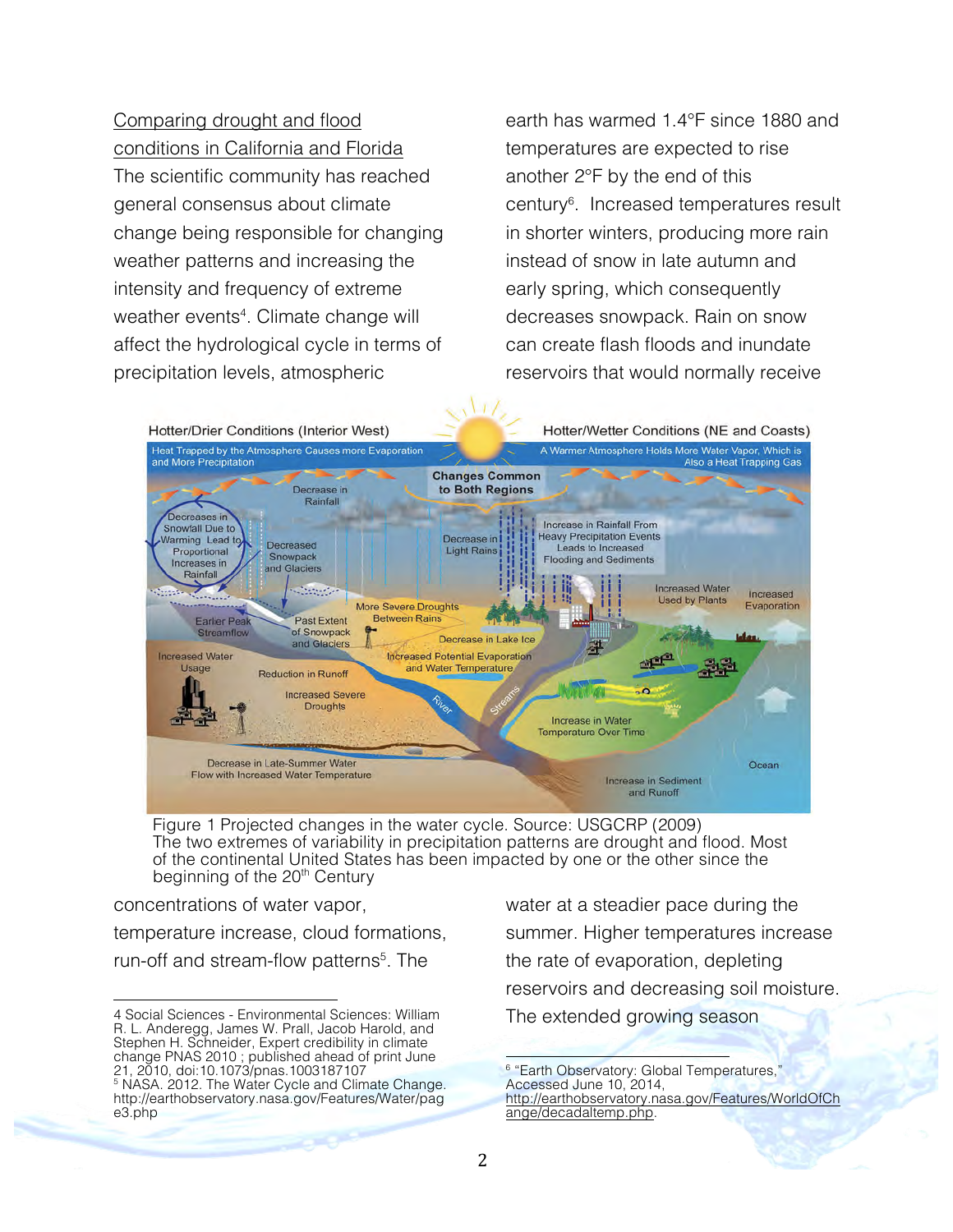Comparing drought and flood conditions in California and Florida The scientific community has reached general consensus about climate change being responsible for changing weather patterns and increasing the intensity and frequency of extreme weather events<sup>4</sup>. Climate change will affect the hydrological cycle in terms of precipitation levels, atmospheric

earth has warmed 1.4°F since 1880 and temperatures are expected to rise another 2°F by the end of this century6 . Increased temperatures result in shorter winters, producing more rain instead of snow in late autumn and early spring, which consequently decreases snowpack. Rain on snow can create flash floods and inundate reservoirs that would normally receive



Figure 1 Projected changes in the water cycle. Source: USGCRP (2009) The two extremes of variability in precipitation patterns are drought and flood. Most of the continental United States has been impacted by one or the other since the beginning of the 20<sup>th</sup> Century

concentrations of water vapor, temperature increase, cloud formations, run-off and stream-flow patterns<sup>5</sup>. The

water at a steadier pace during the summer. Higher temperatures increase the rate of evaporation, depleting reservoirs and decreasing soil moisture. The extended growing season

<sup>6</sup> "Earth Observatory: Global Temperatures," Accessed June 10, 2014, http://earthobservatory.nasa.gov/Features/WorldOfCh ange/decadaltemp.php.

!!!!!!!!!!!!!!!!!!!!!!!!!!!!!!!!!!!!!!!!!!!!!!!!!!!!!!!

<sup>!!!!!!!!!!!!!!!!!!!!!!!!!!!!!!!!!!!!!!!!!!!!!!!!!!!!!!!</sup> 4 Social Sciences - Environmental Sciences: William R. L. Anderegg, James W. Prall, Jacob Harold, and Stephen H. Schneider, Expert credibility in climate change PNAS 2010 ; published ahead of print June 21, 2010, doi:10.1073/pnas.1003187107 <sup>5</sup> NASA. 2012. The Water Cycle and Climate Change. http://earthobservatory.nasa.gov/Features/Water/pag e3.php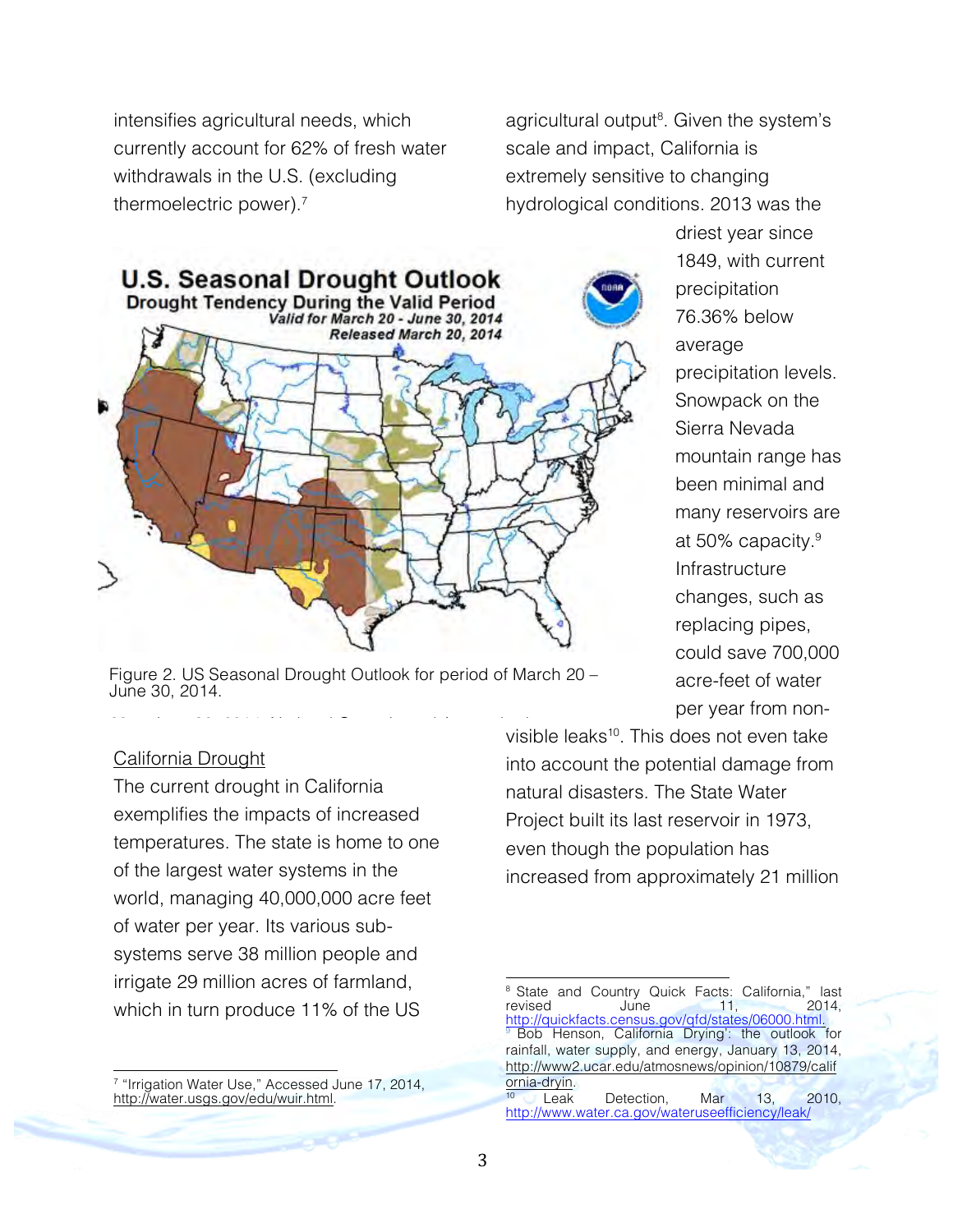intensifies agricultural needs, which currently account for 62% of fresh water withdrawals in the U.S. (excluding thermoelectric power).7

agricultural output<sup>8</sup>. Given the system's scale and impact, California is extremely sensitive to changing hydrological conditions. 2013 was the



Figure 2. US Seasonal Drought Outlook for period of March 20 – June 30, 2014.

#### California Drought

The current drought in California exemplifies the impacts of increased temperatures. The state is home to one of the largest water systems in the world, managing 40,000,000 acre feet of water per year. Its various subsystems serve 38 million people and irrigate 29 million acres of farmland, which in turn produce 11% of the US

!!!!!!!!!!!!!!!!!!!!!!!!!!!!!!!!!!!!!!!!!!!!!!!!!!!!!!! <sup>7</sup> "Irrigation Water Use," Accessed June 17, 2014, http://water.usgs.gov/edu/wuir.html.

driest year since 1849, with current precipitation 76.36% below average precipitation levels. Snowpack on the Sierra Nevada mountain range has been minimal and many reservoirs are at 50% capacity.<sup>9</sup> Infrastructure changes, such as replacing pipes, could save 700,000 acre-feet of water per year from non-

visible leaks<sup>10</sup>. This does not even take into account the potential damage from natural disasters. The State Water Project built its last reservoir in 1973, even though the population has increased from approximately 21 million 20 to June 30, 2014, National Oceanic and Atmospheric

!!!!!!!!!!!!!!!!!!!!!!!!!!!!!!!!!!!!!!!!!!!!!!!!!!!!!!!

<sup>&</sup>lt;sup>8</sup> State and Country Quick Facts: California," last revised June 11, 2014, revised June 11, 2014, http://quickfacts.census.gov/qfd/states/06000.html.<br><sup>9</sup> Bob Henson, California Drying': the outlook for rainfall, water supply, and energy, January 13, 2014, http://www2.ucar.edu/atmosnews/opinion/10879/calif ornia-dryin. <sup>10</sup> Leak Detection, Mar 13, 2010,

http://www.water.ca.gov/wateruseefficiency/leak/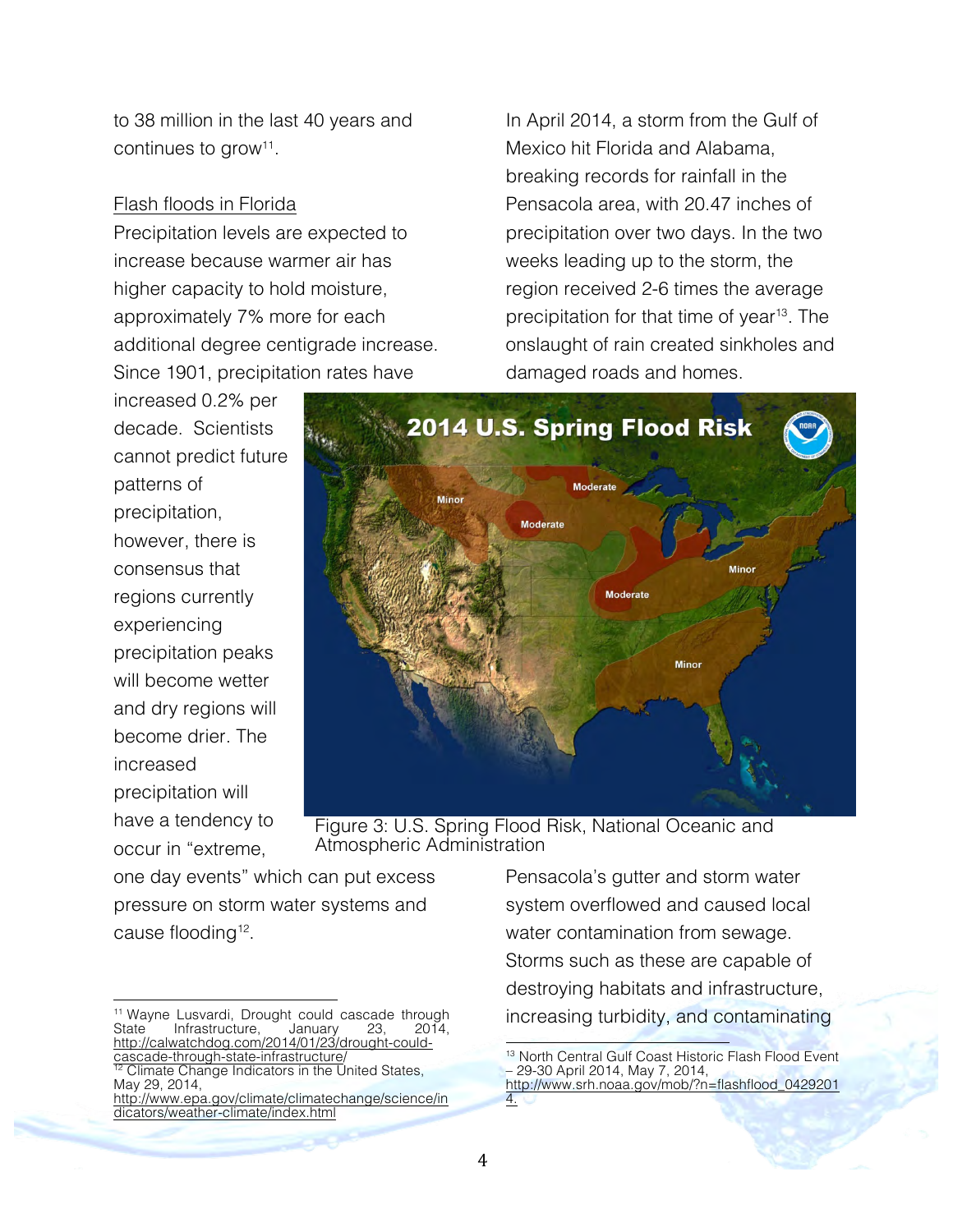to 38 million in the last 40 years and continues to grow<sup>11</sup>.

## Flash floods in Florida

Precipitation levels are expected to increase because warmer air has higher capacity to hold moisture, approximately 7% more for each additional degree centigrade increase. Since 1901, precipitation rates have

increased 0.2% per decade. Scientists cannot predict future patterns of precipitation, however, there is consensus that regions currently experiencing precipitation peaks will become wetter and dry regions will become drier. The increased precipitation will have a tendency to occur in "extreme,



Figure 3: U.S. Spring Flood Risk, National Oceanic and Atmospheric Administration

one day events" which can put excess pressure on storm water systems and cause flooding<sup>12</sup>.

Pensacola's gutter and storm water system overflowed and caused local water contamination from sewage. Storms such as these are capable of destroying habitats and infrastructure, increasing turbidity, and contaminating

In April 2014, a storm from the Gulf of

Mexico hit Florida and Alabama, breaking records for rainfall in the Pensacola area, with 20.47 inches of precipitation over two days. In the two

weeks leading up to the storm, the

damaged roads and homes.

region received 2-6 times the average precipitation for that time of year<sup>13</sup>. The onslaught of rain created sinkholes and

<sup>!!!!!!!!!!!!!!!!!!!!!!!!!!!!!!!!!!!!!!!!!!!!!!!!!!!!!!!</sup> <sup>11</sup> Wayne Lusvardi, Drought could cascade through<br>State Infrastructure, January 23, 2014, Infrastructure, January 23, 2014,<br>vatchdog.com/2014/01/23/drought-couldhttp://calwatchdog.com/2014/01/23/d<br>cascade-through-state-infrastructure/ cascade-through-state-infrastructure/<br><sup>12</sup> Climate Change Indicators in the United States, May 29, 2014, http://www.epa.gov/climate/climatechange/science/in

dicators/weather-climate/index.html

<sup>!!!!!!!!!!!!!!!!!!!!!!!!!!!!!!!!!!!!!!!!!!!!!!!!!!!!!!!</sup> <sup>13</sup> North Central Gulf Coast Historic Flash Flood Event – 29-30 April 2014, May 7, 2014, http://www.srh.noaa.gov/mob/?n=flashflood\_0429201 4.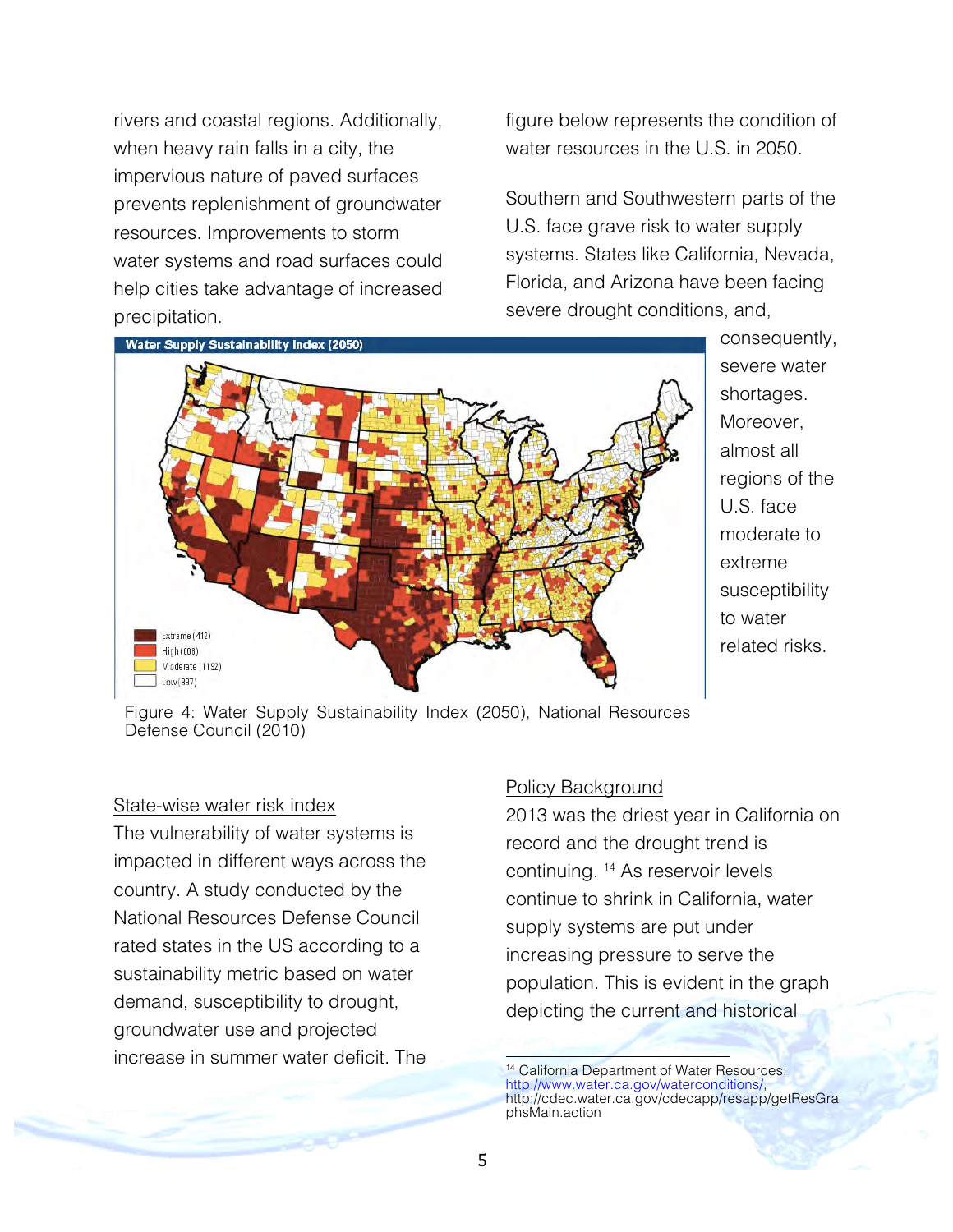rivers and coastal regions. Additionally, when heavy rain falls in a city, the impervious nature of paved surfaces prevents replenishment of groundwater resources. Improvements to storm water systems and road surfaces could help cities take advantage of increased precipitation.

figure below represents the condition of water resources in the U.S. in 2050.

Southern and Southwestern parts of the U.S. face grave risk to water supply systems. States like California, Nevada, Florida, and Arizona have been facing severe drought conditions, and,



consequently, severe water shortages. Moreover, almost all regions of the U.S. face moderate to extreme susceptibility to water related risks.

Figure 4: Water Supply Sustainability Index (2050), National Resources Defense Council (2010)

#### State-wise water risk index

The vulnerability of water systems is impacted in different ways across the country. A study conducted by the National Resources Defense Council rated states in the US according to a sustainability metric based on water demand, susceptibility to drought, groundwater use and projected increase in summer water deficit. The

#### Policy Background

2013 was the driest year in California on record and the drought trend is continuing. 14 As reservoir levels continue to shrink in California, water supply systems are put under increasing pressure to serve the population. This is evident in the graph depicting the current and historical

!!!!!!!!!!!!!!!!!!!!!!!!!!!!!!!!!!!!!!!!!!!!!!!!!!!!!!! <sup>14</sup> California Department of Water Resources: http://www.water.ca.gov/waterconditions/, http://cdec.water.ca.gov/cdecapp/resapp/getResGra phsMain.action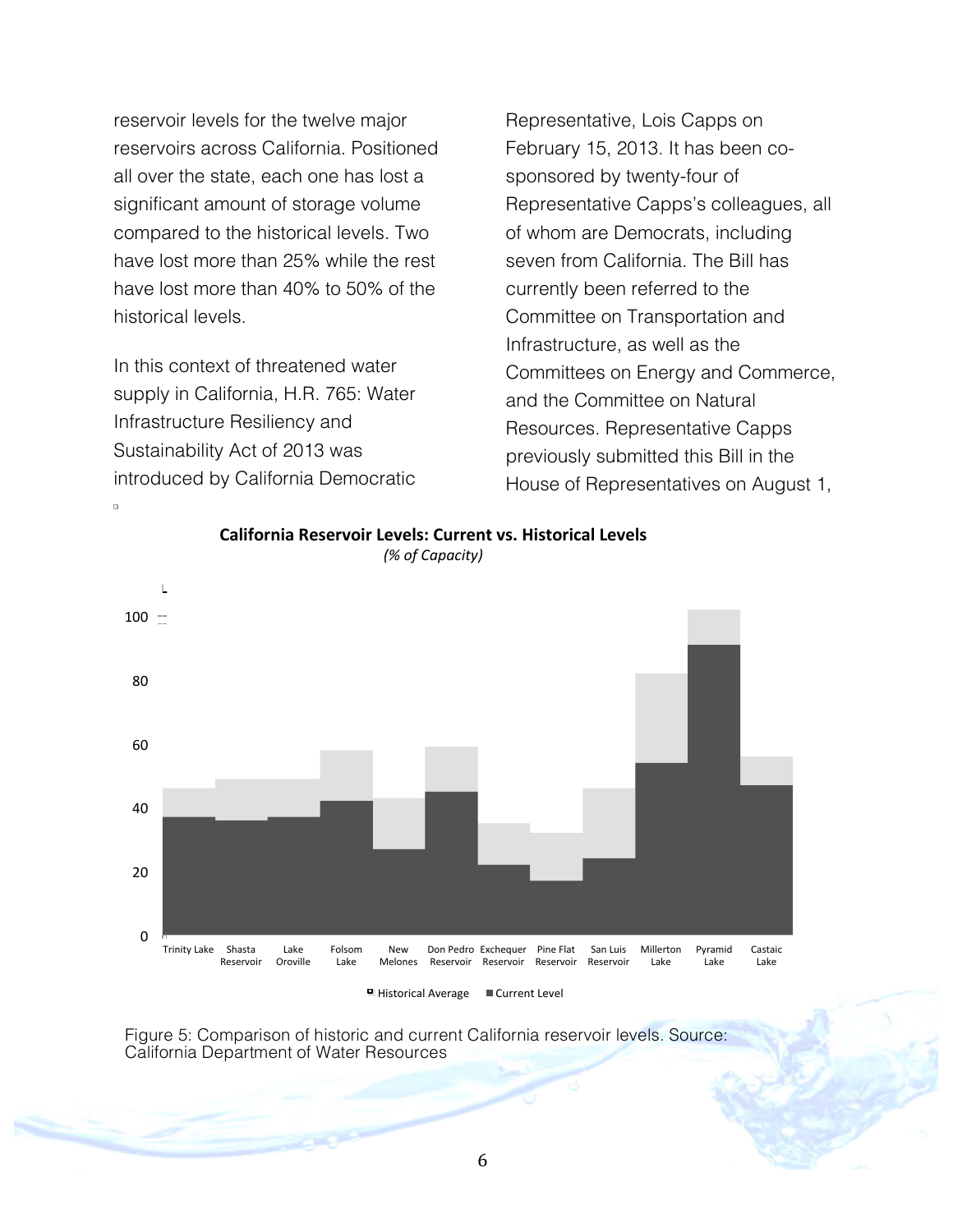reservoir levels for the twelve major reservoirs across California. Positioned all over the state, each one has lost a significant amount of storage volume compared to the historical levels. Two have lost more than 25% while the rest have lost more than 40% to 50% of the historical levels.

In this context of threatened water supply in California, H.R. 765: Water Infrastructure Resiliency and Sustainability Act of 2013 was introduced by California Democratic Representative, Lois Capps on February 15, 2013. It has been cosponsored by twenty-four of Representative Capps's colleagues, all of whom are Democrats, including seven from California. The Bill has currently been referred to the Committee on Transportation and Infrastructure, as well as the Committees on Energy and Commerce, and the Committee on Natural Resources. Representative Capps previously submitted this Bill in the House of Representatives on August 1,



California Reservoir Levels: Current vs. Historical Levels *(% of Capacity)* 

Figure 5: Comparison of historic and current California reservoir levels. Source: California Department of Water Resources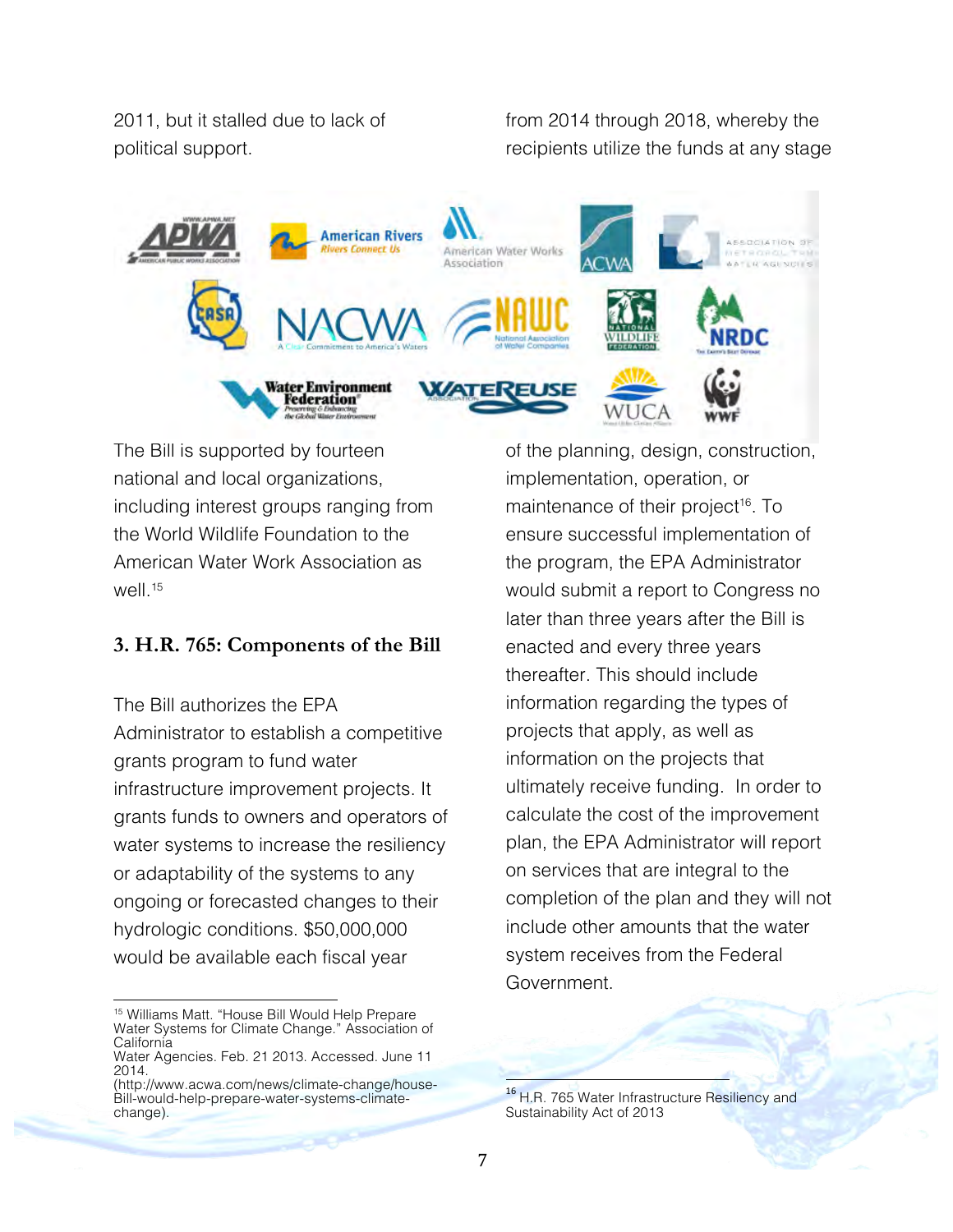2011, but it stalled due to lack of political support.

from 2014 through 2018, whereby the recipients utilize the funds at any stage



The Bill is supported by fourteen national and local organizations, including interest groups ranging from the World Wildlife Foundation to the American Water Work Association as well.<sup>15</sup>

## **3. H.R. 765: Components of the Bill**

The Bill authorizes the EPA Administrator to establish a competitive grants program to fund water infrastructure improvement projects. It grants funds to owners and operators of water systems to increase the resiliency or adaptability of the systems to any ongoing or forecasted changes to their hydrologic conditions. \$50,000,000 would be available each fiscal year

of the planning, design, construction, implementation, operation, or maintenance of their project<sup>16</sup>. To ensure successful implementation of the program, the EPA Administrator would submit a report to Congress no later than three years after the Bill is enacted and every three years thereafter. This should include information regarding the types of projects that apply, as well as information on the projects that ultimately receive funding. In order to calculate the cost of the improvement plan, the EPA Administrator will report on services that are integral to the completion of the plan and they will not include other amounts that the water system receives from the Federal Government.

<sup>!!!!!!!!!!!!!!!!!!!!!!!!!!!!!!!!!!!!!!!!!!!!!!!!!!!!!!!</sup> <sup>15</sup> Williams Matt. "House Bill Would Help Prepare Water Systems for Climate Change." Association of California

Water Agencies. Feb. 21 2013. Accessed. June 11 2014.

<sup>(</sup>http://www.acwa.com/news/climate-change/house-Bill-would-help-prepare-water-systems-climatechange).

<sup>&</sup>lt;sup>16</sup> H.R. 765 Water Infrastructure Resiliency and Sustainability Act of 2013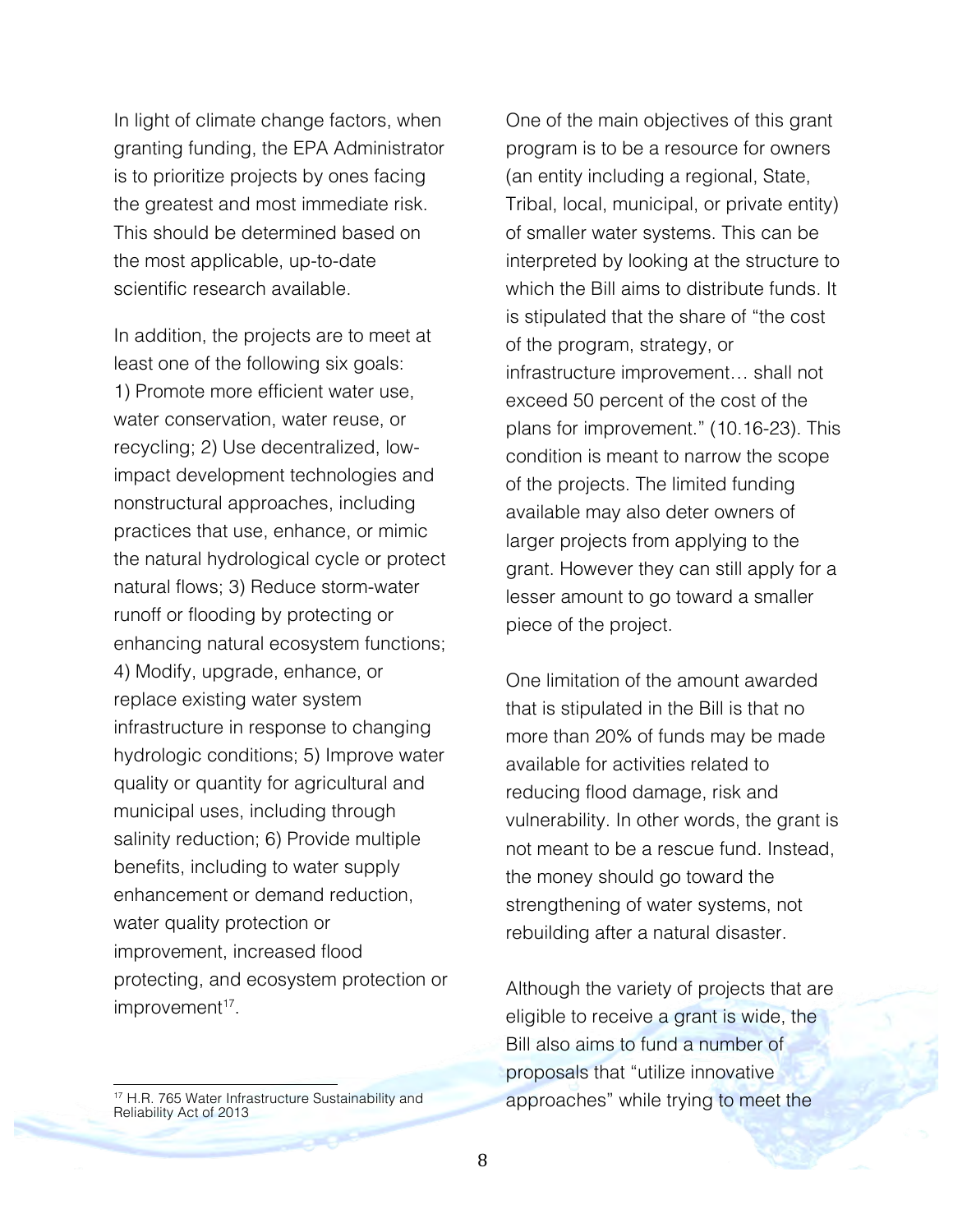In light of climate change factors, when granting funding, the EPA Administrator is to prioritize projects by ones facing the greatest and most immediate risk. This should be determined based on the most applicable, up-to-date scientific research available.

In addition, the projects are to meet at least one of the following six goals: 1) Promote more efficient water use, water conservation, water reuse, or recycling; 2) Use decentralized, lowimpact development technologies and nonstructural approaches, including practices that use, enhance, or mimic the natural hydrological cycle or protect natural flows; 3) Reduce storm-water runoff or flooding by protecting or enhancing natural ecosystem functions; 4) Modify, upgrade, enhance, or replace existing water system infrastructure in response to changing hydrologic conditions; 5) Improve water quality or quantity for agricultural and municipal uses, including through salinity reduction; 6) Provide multiple benefits, including to water supply enhancement or demand reduction, water quality protection or improvement, increased flood protecting, and ecosystem protection or improvement<sup>17</sup>.

!!!!!!!!!!!!!!!!!!!!!!!!!!!!!!!!!!!!!!!!!!!!!!!!!!!!!!! <sup>17</sup> H.R. 765 Water Infrastructure Sustainability and Reliability Act of 2013

One of the main objectives of this grant program is to be a resource for owners (an entity including a regional, State, Tribal, local, municipal, or private entity) of smaller water systems. This can be interpreted by looking at the structure to which the Bill aims to distribute funds. It is stipulated that the share of "the cost of the program, strategy, or infrastructure improvement… shall not exceed 50 percent of the cost of the plans for improvement." (10.16-23). This condition is meant to narrow the scope of the projects. The limited funding available may also deter owners of larger projects from applying to the grant. However they can still apply for a lesser amount to go toward a smaller piece of the project.

One limitation of the amount awarded that is stipulated in the Bill is that no more than 20% of funds may be made available for activities related to reducing flood damage, risk and vulnerability. In other words, the grant is not meant to be a rescue fund. Instead, the money should go toward the strengthening of water systems, not rebuilding after a natural disaster.

Although the variety of projects that are eligible to receive a grant is wide, the Bill also aims to fund a number of proposals that "utilize innovative approaches" while trying to meet the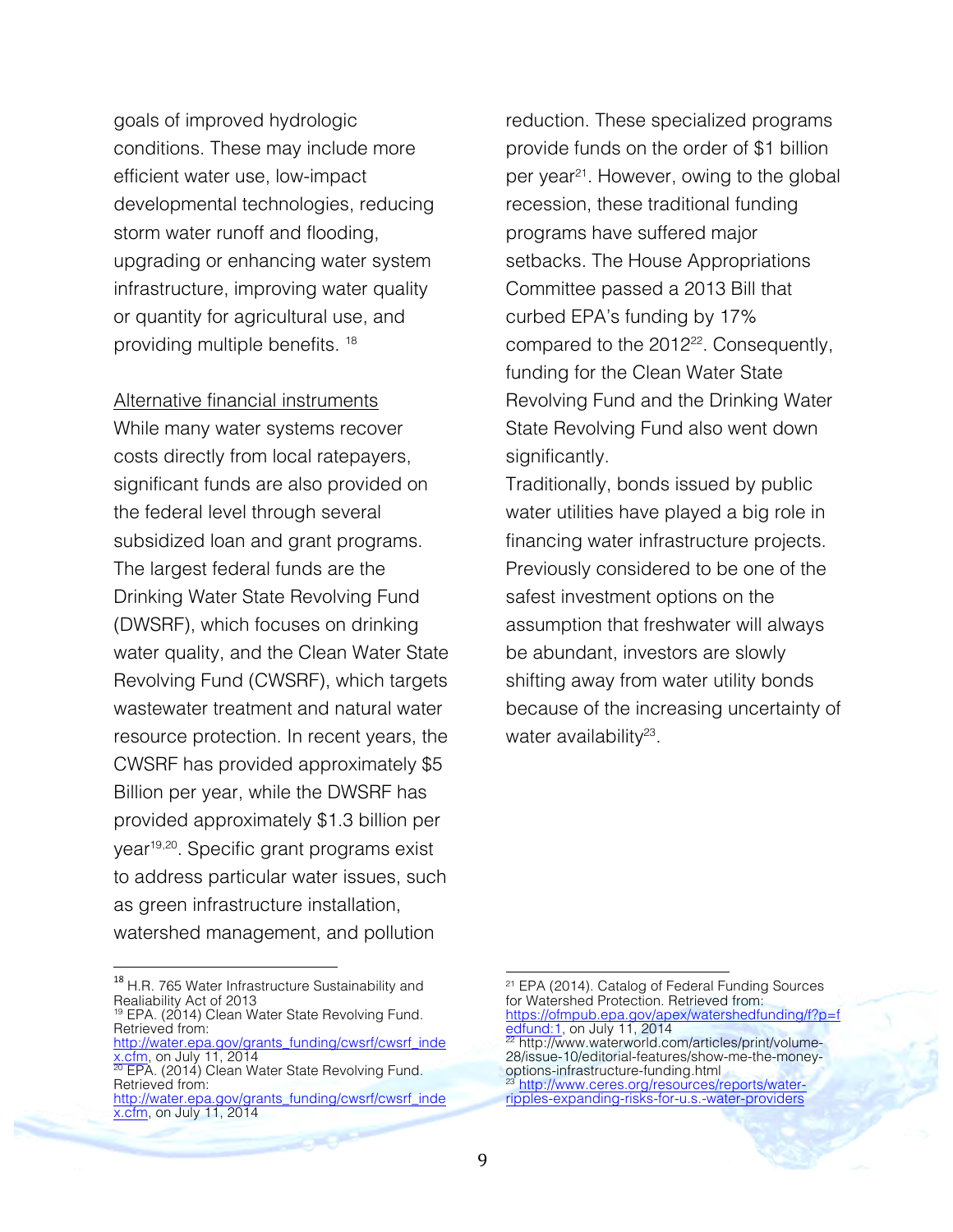goals of improved hydrologic conditions. These may include more efficient water use, low-impact developmental technologies, reducing storm water runoff and flooding, upgrading or enhancing water system infrastructure, improving water quality or quantity for agricultural use, and providing multiple benefits. 18

Alternative financial instruments While many water systems recover costs directly from local ratepayers, significant funds are also provided on the federal level through several subsidized loan and grant programs. The largest federal funds are the Drinking Water State Revolving Fund (DWSRF), which focuses on drinking water quality, and the Clean Water State Revolving Fund (CWSRF), which targets wastewater treatment and natural water resource protection. In recent years, the CWSRF has provided approximately \$5 Billion per year, while the DWSRF has provided approximately \$1.3 billion per year19,20. Specific grant programs exist to address particular water issues, such as green infrastructure installation, watershed management, and pollution

reduction. These specialized programs provide funds on the order of \$1 billion per year 21. However, owing to the global recession, these traditional funding programs have suffered major setbacks. The House Appropriations Committee passed a 2013 Bill that curbed EPA's funding by 17% compared to the 2012<sup>22</sup>. Consequently, funding for the Clean Water State Revolving Fund and the Drinking Water State Revolving Fund also went down significantly.

Traditionally, bonds issued by public water utilities have played a big role in financing water infrastructure projects. Previously considered to be one of the safest investment options on the assumption that freshwater will always be abundant, investors are slowly shifting away from water utility bonds because of the increasing uncertainty of water availability<sup>23</sup>.

!!!!!!!!!!!!!!!!!!!!!!!!!!!!!!!!!!!!!!!!!!!!!!!!!!!!!!!

<sup>&</sup>lt;sup>18</sup> H.R. 765 Water Infrastructure Sustainability and Realiability Act of 2013

<sup>&</sup>lt;sup>19</sup> EPA. (2014) Clean Water State Revolving Fund. Retrieved from:

http://water.epa.gov/grants\_funding/cwsrf/cwsrf\_inde<br>x.cfm, on July 11, 2014  $\frac{\lambda_{10}^{11}}{20}$  EPA. (2014) Clean Water State Revolving Fund.

Retrieved from: http://water.epa.gov/grants\_funding/cwsrf/cwsrf\_inde x.cfm, on July 11, 2014

<sup>&</sup>lt;sup>21</sup> EPA (2014). Catalog of Federal Funding Sources for Watershed Protection. Retrieved from: https://ofmpub.epa.gov/apex/watershedfunding/f?p=f

<sup>&</sup>lt;u>edfund:1,</u> on July 11, 2014<br><sup>22</sup> http://www.waterworld.com/articles/print/volume-28/issue-10/editorial-features/show-me-the-moneyoptions-infrastructure-funding.html<br><sup>23</sup> <u>http://www.ceres.org/resources/reports/water-</u>

ripples-expanding-risks-for-u.s.-water-providers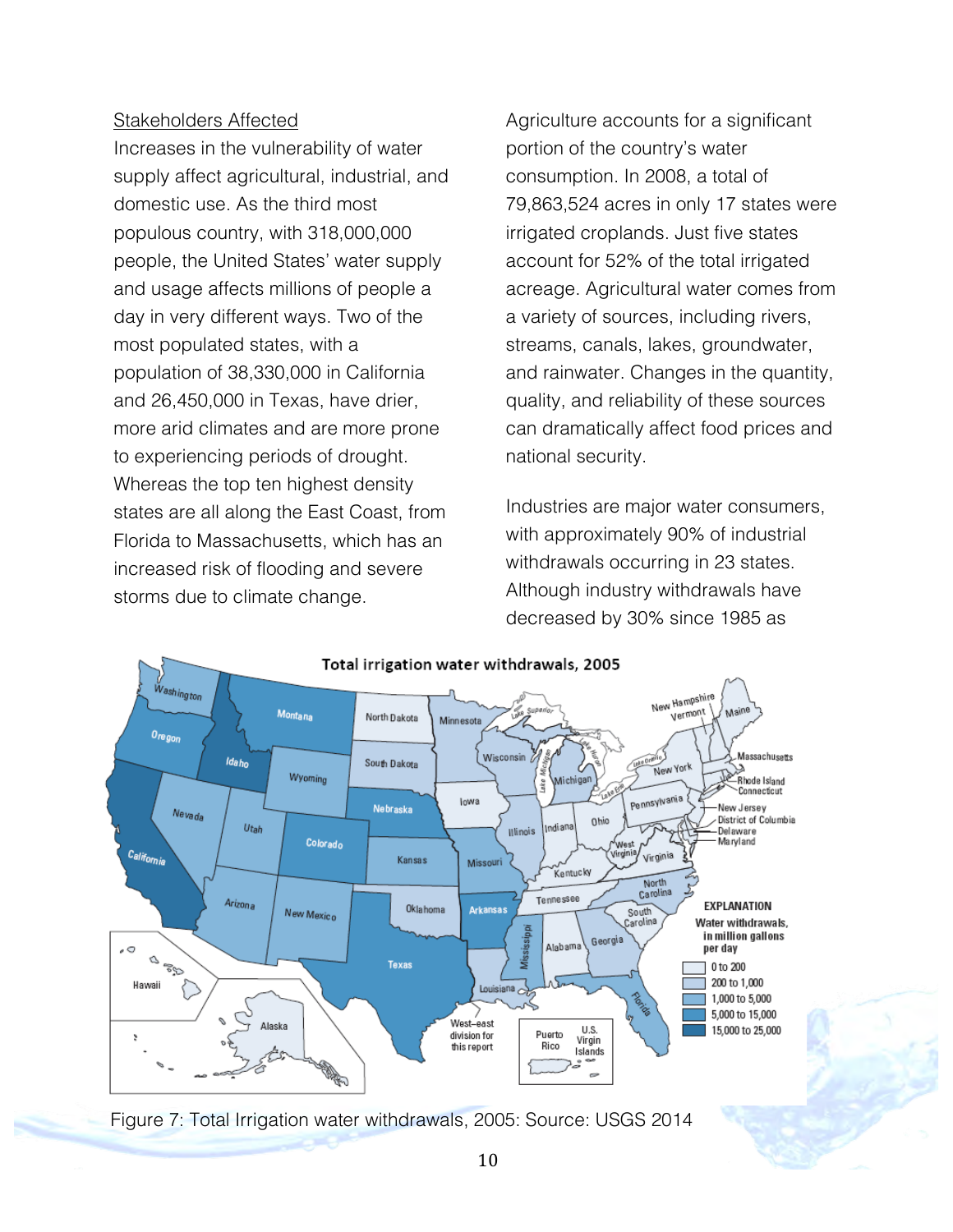#### Stakeholders Affected

Increases in the vulnerability of water supply affect agricultural, industrial, and domestic use. As the third most populous country, with 318,000,000 people, the United States' water supply and usage affects millions of people a day in very different ways. Two of the most populated states, with a population of 38,330,000 in California and 26,450,000 in Texas, have drier, more arid climates and are more prone to experiencing periods of drought. Whereas the top ten highest density states are all along the East Coast, from Florida to Massachusetts, which has an increased risk of flooding and severe storms due to climate change.

Agriculture accounts for a significant portion of the country's water consumption. In 2008, a total of 79,863,524 acres in only 17 states were irrigated croplands. Just five states account for 52% of the total irrigated acreage. Agricultural water comes from a variety of sources, including rivers, streams, canals, lakes, groundwater, and rainwater. Changes in the quantity, quality, and reliability of these sources can dramatically affect food prices and national security.

Industries are major water consumers, with approximately 90% of industrial withdrawals occurring in 23 states. Although industry withdrawals have decreased by 30% since 1985 as



Figure 7: Total Irrigation water withdrawals, 2005: Source: USGS 2014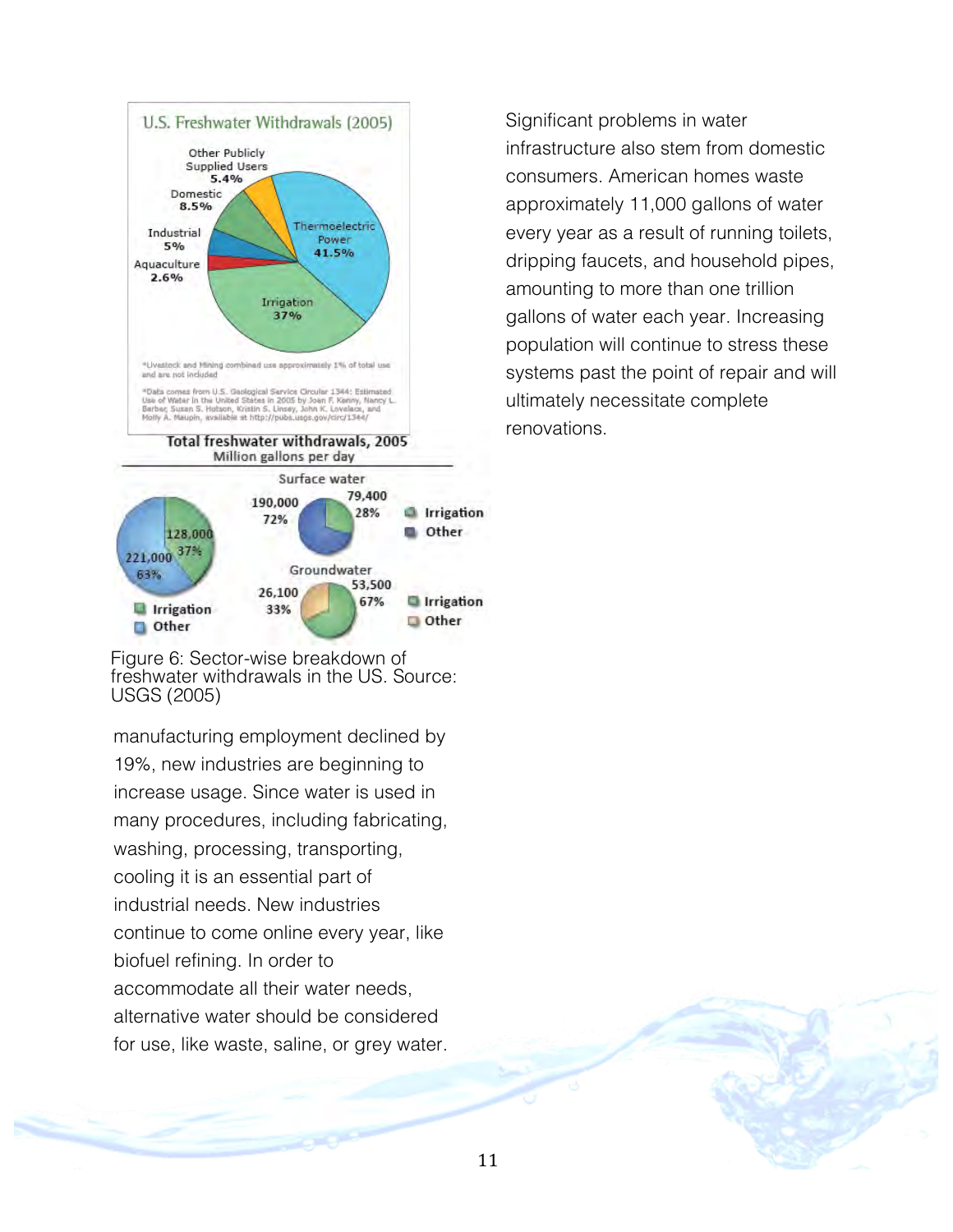

Figure 6: Sector-wise breakdown of freshwater withdrawals in the US. Source: USGS (2005)

manufacturing employment declined by 19%, new industries are beginning to increase usage. Since water is used in many procedures, including fabricating, washing, processing, transporting, cooling it is an essential part of industrial needs. New industries continue to come online every year, like biofuel refining. In order to accommodate all their water needs, alternative water should be considered for use, like waste, saline, or grey water.

Significant problems in water infrastructure also stem from domestic consumers. American homes waste approximately 11,000 gallons of water every year as a result of running toilets, dripping faucets, and household pipes, amounting to more than one trillion gallons of water each year. Increasing population will continue to stress these systems past the point of repair and will ultimately necessitate complete renovations.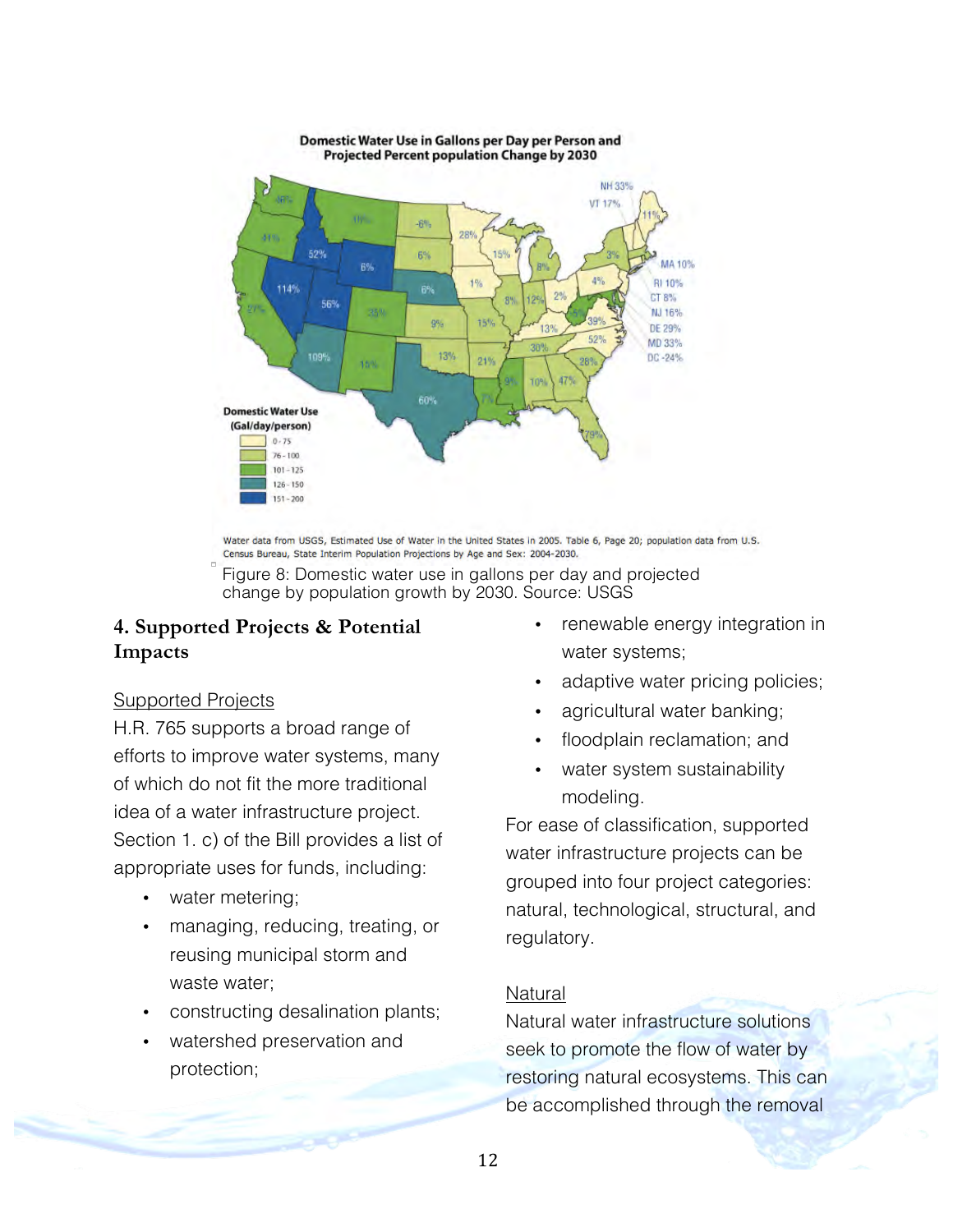

Domestic Water Use in Gallons per Day per Person and Projected Percent population Change by 2030

Water data from USGS, Estimated Use of Water in the United States in 2005. Table 6, Page 20; population data from U.S. Census Bureau, State Interim Population Projections by Age and Sex: 2004-2030.



## **4. Supported Projects & Potential Impacts**

## Supported Projects

H.R. 765 supports a broad range of efforts to improve water systems, many of which do not fit the more traditional idea of a water infrastructure project. Section 1. c) of the Bill provides a list of appropriate uses for funds, including:

- water metering;
- managing, reducing, treating, or reusing municipal storm and waste water;
- constructing desalination plants;
- watershed preservation and protection;
- renewable energy integration in water systems;
- adaptive water pricing policies;
- agricultural water banking;
- floodplain reclamation; and
- water system sustainability modeling.

For ease of classification, supported water infrastructure projects can be grouped into four project categories: natural, technological, structural, and regulatory.

## **Natural**

Natural water infrastructure solutions seek to promote the flow of water by restoring natural ecosystems. This can be accomplished through the removal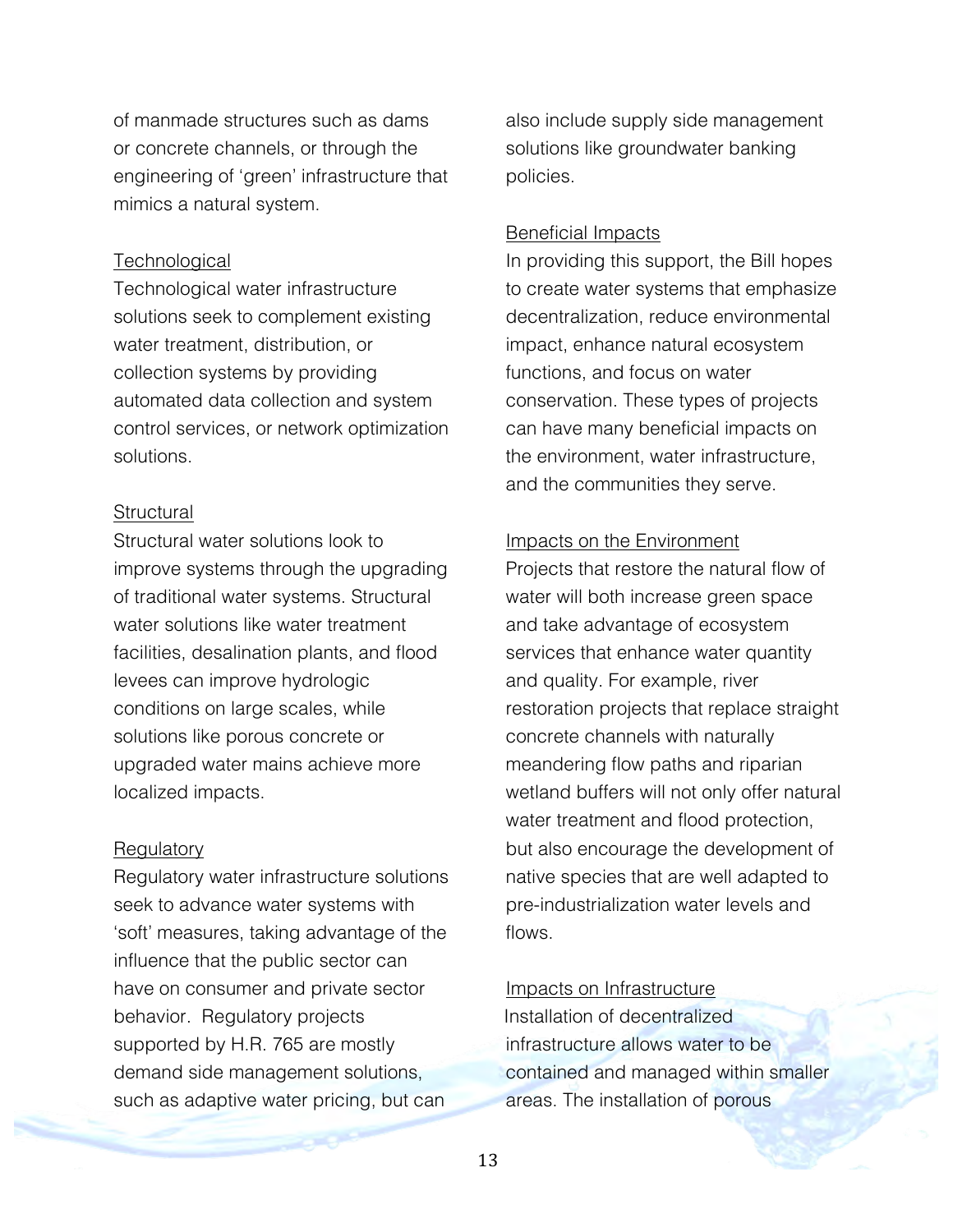of manmade structures such as dams or concrete channels, or through the engineering of 'green' infrastructure that mimics a natural system.

#### **Technological**

Technological water infrastructure solutions seek to complement existing water treatment, distribution, or collection systems by providing automated data collection and system control services, or network optimization solutions.

#### **Structural**

Structural water solutions look to improve systems through the upgrading of traditional water systems. Structural water solutions like water treatment facilities, desalination plants, and flood levees can improve hydrologic conditions on large scales, while solutions like porous concrete or upgraded water mains achieve more localized impacts.

#### **Regulatory**

Regulatory water infrastructure solutions seek to advance water systems with 'soft' measures, taking advantage of the influence that the public sector can have on consumer and private sector behavior. Regulatory projects supported by H.R. 765 are mostly demand side management solutions, such as adaptive water pricing, but can

also include supply side management solutions like groundwater banking policies.

#### Beneficial Impacts

In providing this support, the Bill hopes to create water systems that emphasize decentralization, reduce environmental impact, enhance natural ecosystem functions, and focus on water conservation. These types of projects can have many beneficial impacts on the environment, water infrastructure, and the communities they serve.

#### Impacts on the Environment

Projects that restore the natural flow of water will both increase green space and take advantage of ecosystem services that enhance water quantity and quality. For example, river restoration projects that replace straight concrete channels with naturally meandering flow paths and riparian wetland buffers will not only offer natural water treatment and flood protection, but also encourage the development of native species that are well adapted to pre-industrialization water levels and flows.

#### Impacts on Infrastructure

Installation of decentralized infrastructure allows water to be contained and managed within smaller areas. The installation of porous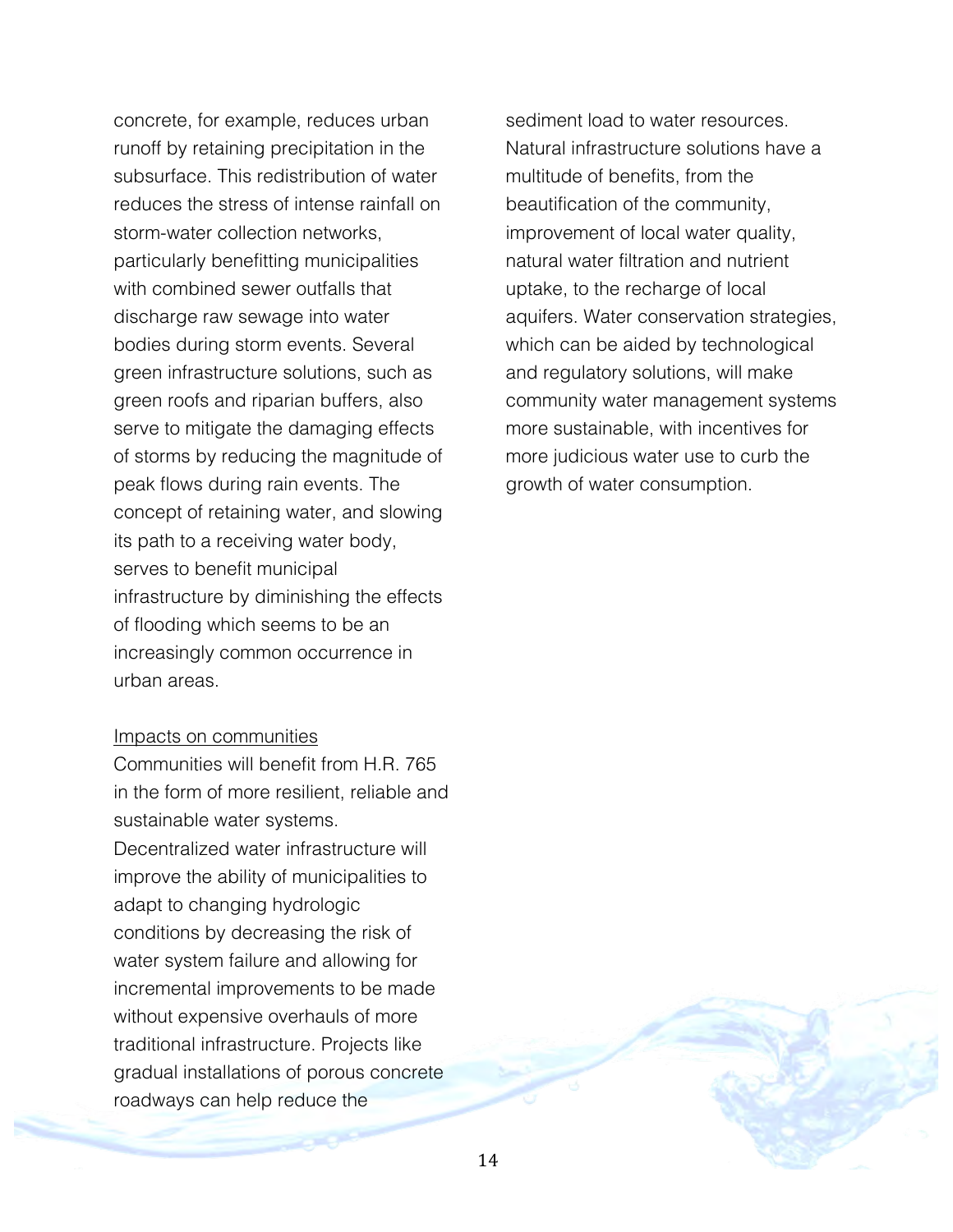concrete, for example, reduces urban runoff by retaining precipitation in the subsurface. This redistribution of water reduces the stress of intense rainfall on storm-water collection networks, particularly benefitting municipalities with combined sewer outfalls that discharge raw sewage into water bodies during storm events. Several green infrastructure solutions, such as green roofs and riparian buffers, also serve to mitigate the damaging effects of storms by reducing the magnitude of peak flows during rain events. The concept of retaining water, and slowing its path to a receiving water body, serves to benefit municipal infrastructure by diminishing the effects of flooding which seems to be an increasingly common occurrence in urban areas.

#### Impacts on communities

Communities will benefit from H.R. 765 in the form of more resilient, reliable and sustainable water systems. Decentralized water infrastructure will improve the ability of municipalities to adapt to changing hydrologic conditions by decreasing the risk of water system failure and allowing for incremental improvements to be made without expensive overhauls of more traditional infrastructure. Projects like gradual installations of porous concrete roadways can help reduce the

sediment load to water resources. Natural infrastructure solutions have a multitude of benefits, from the beautification of the community, improvement of local water quality, natural water filtration and nutrient uptake, to the recharge of local aquifers. Water conservation strategies, which can be aided by technological and regulatory solutions, will make community water management systems more sustainable, with incentives for more judicious water use to curb the growth of water consumption.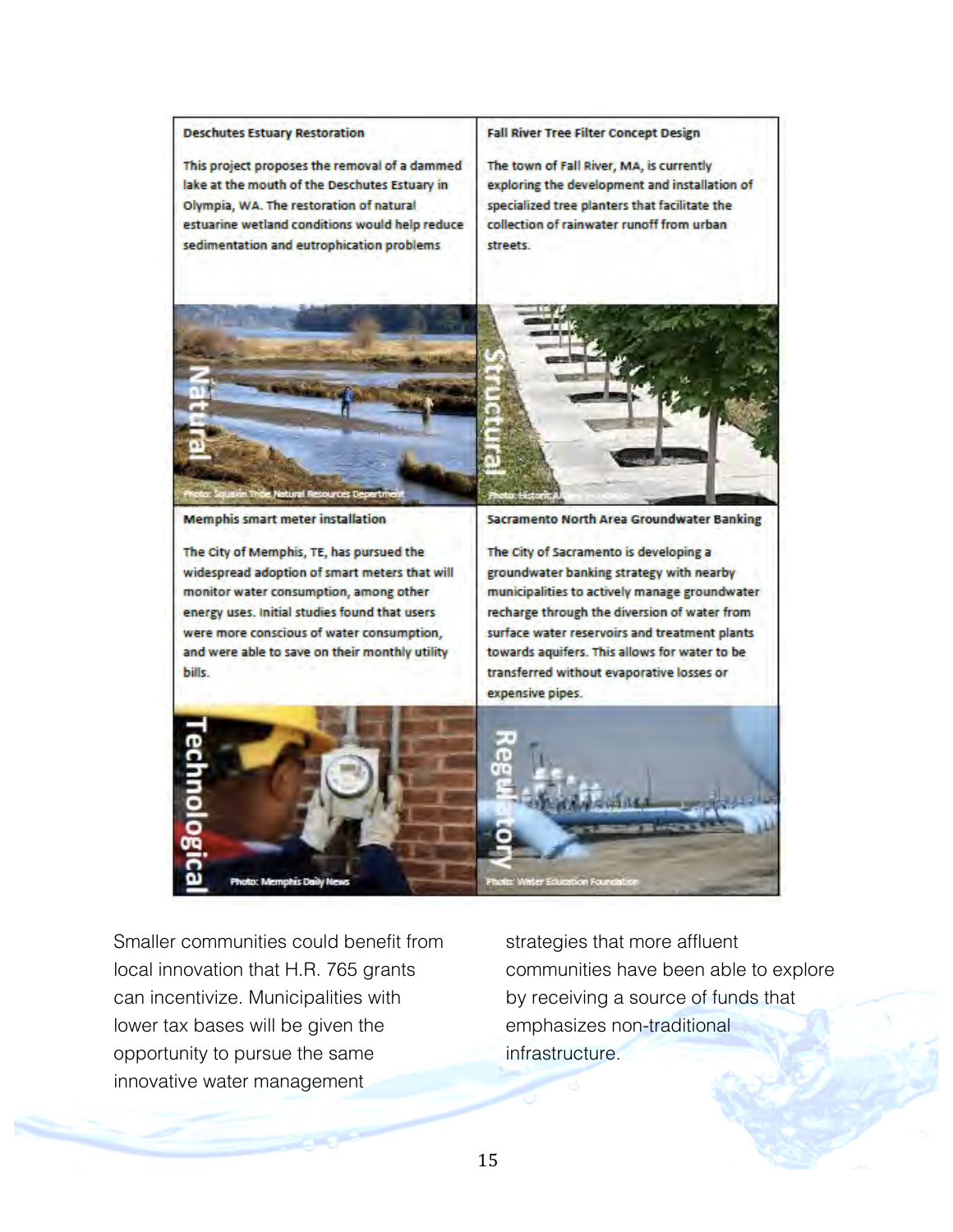

Smaller communities could benefit from local innovation that H.R. 765 grants can incentivize. Municipalities with lower tax bases will be given the opportunity to pursue the same innovative water management

strategies that more affluent communities have been able to explore by receiving a source of funds that emphasizes non-traditional infrastructure.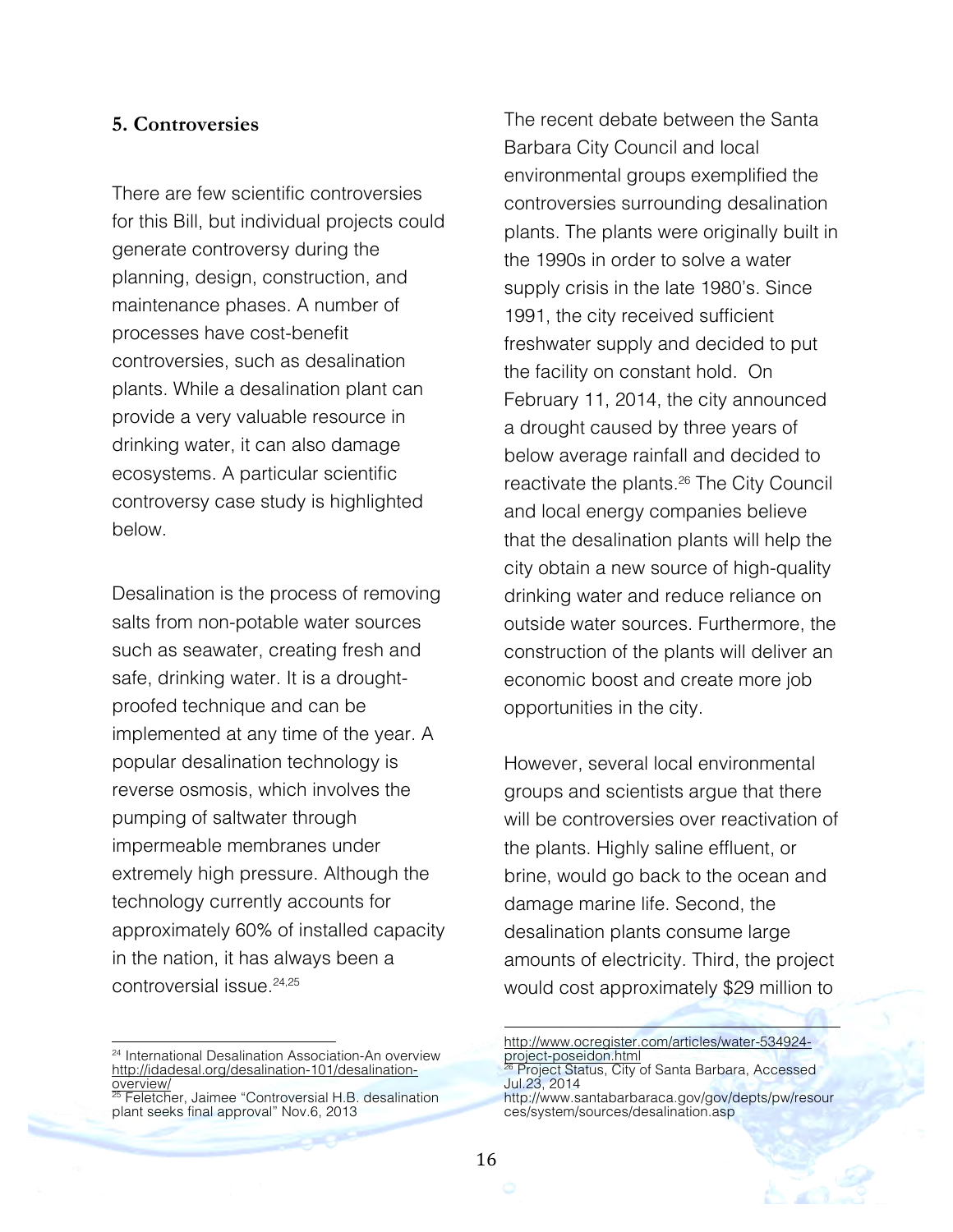#### **5. Controversies**

There are few scientific controversies for this Bill, but individual projects could generate controversy during the planning, design, construction, and maintenance phases. A number of processes have cost-benefit controversies, such as desalination plants. While a desalination plant can provide a very valuable resource in drinking water, it can also damage ecosystems. A particular scientific controversy case study is highlighted below.

Desalination is the process of removing salts from non-potable water sources such as seawater, creating fresh and safe, drinking water. It is a droughtproofed technique and can be implemented at any time of the year. A popular desalination technology is reverse osmosis, which involves the pumping of saltwater through impermeable membranes under extremely high pressure. Although the technology currently accounts for approximately 60% of installed capacity in the nation, it has always been a controversial issue.24,25

<sup>25</sup> Feletcher, Jaimee "Controversial H.B. desalination plant seeks final approval" Nov.6, 2013

The recent debate between the Santa Barbara City Council and local environmental groups exemplified the controversies surrounding desalination plants. The plants were originally built in the 1990s in order to solve a water supply crisis in the late 1980's. Since 1991, the city received sufficient freshwater supply and decided to put the facility on constant hold. On February 11, 2014, the city announced a drought caused by three years of below average rainfall and decided to reactivate the plants.<sup>26</sup> The City Council and local energy companies believe that the desalination plants will help the city obtain a new source of high-quality drinking water and reduce reliance on outside water sources. Furthermore, the construction of the plants will deliver an economic boost and create more job opportunities in the city.

However, several local environmental groups and scientists argue that there will be controversies over reactivation of the plants. Highly saline effluent, or brine, would go back to the ocean and damage marine life. Second, the desalination plants consume large amounts of electricity. Third, the project would cost approximately \$29 million to

!!!!!!!!!!!!!!!!!!!!!!!!!!!!!!!!!!!!!!!!!!!!!!!!!!!!!!!!!!!!!!!!!!!!!!!!!!!!!!!!!!

<sup>!!!!!!!!!!!!!!!!!!!!!!!!!!!!!!!!!!!!!!!!!!!!!!!!!!!!!!!</sup> <sup>24</sup> International Desalination Association-An overview http://idadesal.org/desalination-101/desalinationoverview/

http://www.ocregister.com/articles/water-534924 project-poseidon.html <sup>26</sup> Project Status, City of Santa Barbara, Accessed Jul.23, 2014 http://www.santabarbaraca.gov/gov/depts/pw/resour ces/system/sources/desalination.asp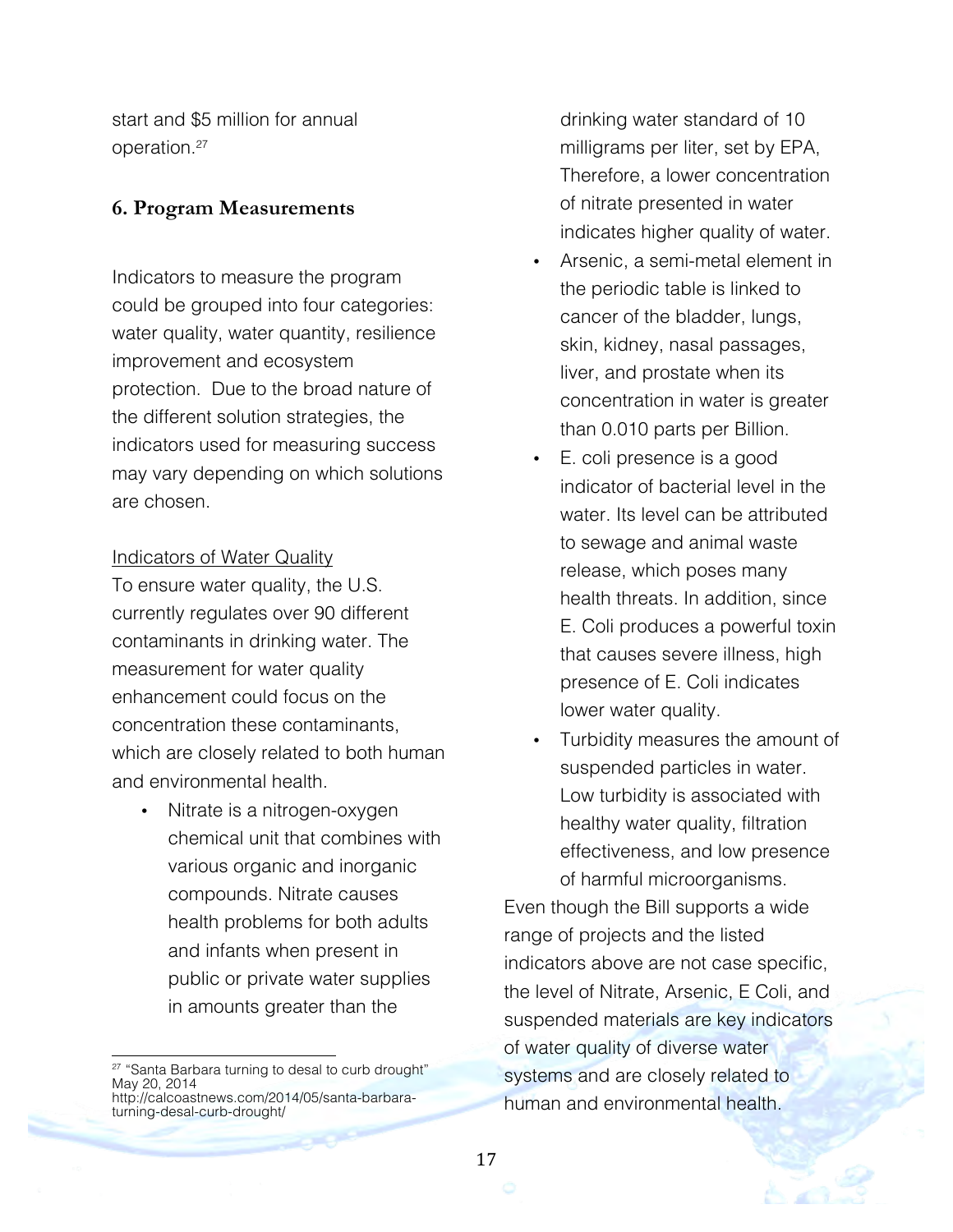start and \$5 million for annual operation.27

## **6. Program Measurements**

Indicators to measure the program could be grouped into four categories: water quality, water quantity, resilience improvement and ecosystem protection. Due to the broad nature of the different solution strategies, the indicators used for measuring success may vary depending on which solutions are chosen.

#### Indicators of Water Quality

To ensure water quality, the U.S. currently regulates over 90 different contaminants in drinking water. The measurement for water quality enhancement could focus on the concentration these contaminants, which are closely related to both human and environmental health.

Nitrate is a nitrogen-oxygen chemical unit that combines with various organic and inorganic compounds. Nitrate causes health problems for both adults and infants when present in public or private water supplies in amounts greater than the

drinking water standard of 10 milligrams per liter, set by EPA, Therefore, a lower concentration of nitrate presented in water indicates higher quality of water.

- Arsenic, a semi-metal element in the periodic table is linked to cancer of the bladder, lungs, skin, kidney, nasal passages, liver, and prostate when its concentration in water is greater than 0.010 parts per Billion.
- E. coli presence is a good indicator of bacterial level in the water. Its level can be attributed to sewage and animal waste release, which poses many health threats. In addition, since E. Coli produces a powerful toxin that causes severe illness, high presence of E. Coli indicates lower water quality.
- Turbidity measures the amount of suspended particles in water. Low turbidity is associated with healthy water quality, filtration effectiveness, and low presence of harmful microorganisms.

Even though the Bill supports a wide range of projects and the listed indicators above are not case specific, the level of Nitrate, Arsenic, E Coli, and suspended materials are key indicators of water quality of diverse water systems and are closely related to human and environmental health.

<sup>!!!!!!!!!!!!!!!!!!!!!!!!!!!!!!!!!!!!!!!!!!!!!!!!!!!!!!!</sup> <sup>27</sup> "Santa Barbara turning to desal to curb drought" May 20, 2014 http://calcoastnews.com/2014/05/santa-barbaraturning-desal-curb-drought/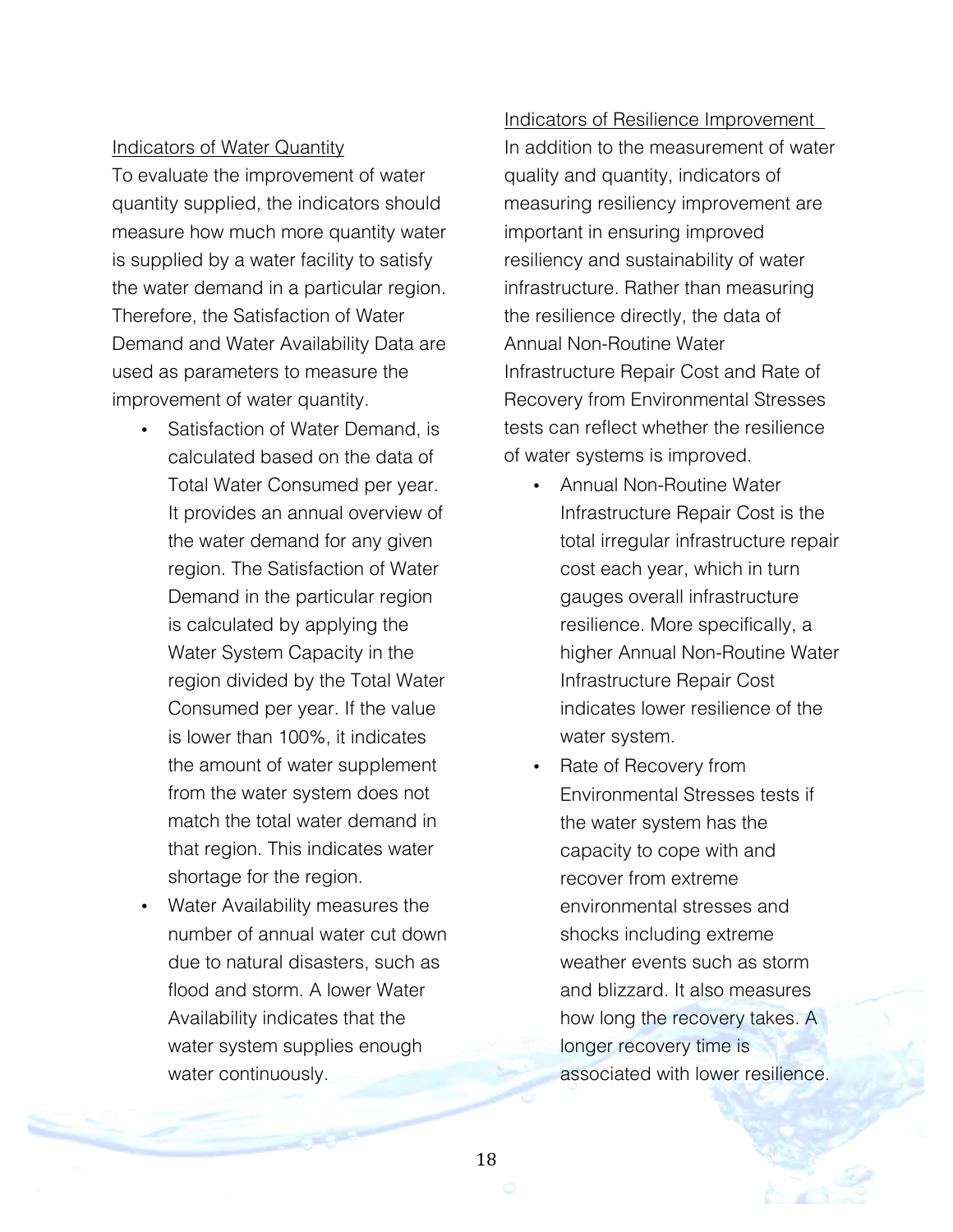#### Indicators of Water Quantity

To evaluate the improvement of water quantity supplied, the indicators should measure how much more quantity water is supplied by a water facility to satisfy the water demand in a particular region. Therefore, the Satisfaction of Water Demand and Water Availability Data are used as parameters to measure the improvement of water quantity.

- Satisfaction of Water Demand, is calculated based on the data of Total Water Consumed per year. It provides an annual overview of the water demand for any given region. The Satisfaction of Water Demand in the particular region is calculated by applying the Water System Capacity in the region divided by the Total Water Consumed per year. If the value is lower than 100%, it indicates the amount of water supplement from the water system does not match the total water demand in that region. This indicates water shortage for the region.
- Water Availability measures the number of annual water cut down due to natural disasters, such as flood and storm. A lower Water Availability indicates that the water system supplies enough water continuously.

## Indicators of Resilience Improvement In addition to the measurement of water

quality and quantity, indicators of measuring resiliency improvement are important in ensuring improved resiliency and sustainability of water infrastructure. Rather than measuring the resilience directly, the data of Annual Non-Routine Water Infrastructure Repair Cost and Rate of Recovery from Environmental Stresses tests can reflect whether the resilience of water systems is improved.

- Annual Non-Routine Water Infrastructure Repair Cost is the total irregular infrastructure repair cost each year, which in turn gauges overall infrastructure resilience. More specifically, a higher Annual Non-Routine Water Infrastructure Repair Cost indicates lower resilience of the water system.
- Rate of Recovery from Environmental Stresses tests if the water system has the capacity to cope with and recover from extreme environmental stresses and shocks including extreme weather events such as storm and blizzard. It also measures how long the recovery takes. A longer recovery time is associated with lower resilience.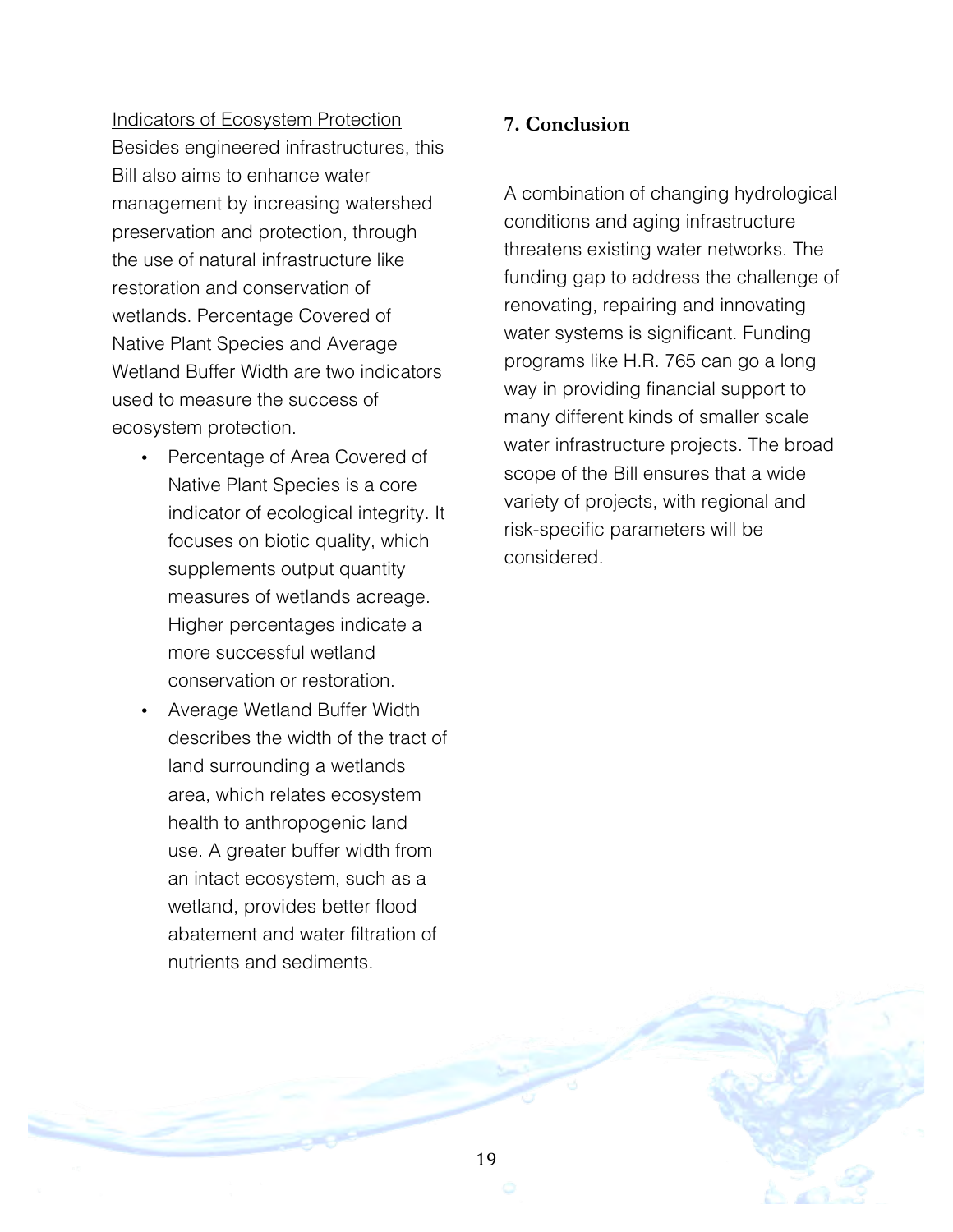Indicators of Ecosystem Protection Besides engineered infrastructures, this Bill also aims to enhance water management by increasing watershed preservation and protection, through the use of natural infrastructure like restoration and conservation of wetlands. Percentage Covered of Native Plant Species and Average Wetland Buffer Width are two indicators used to measure the success of ecosystem protection.

- Percentage of Area Covered of Native Plant Species is a core indicator of ecological integrity. It focuses on biotic quality, which supplements output quantity measures of wetlands acreage. Higher percentages indicate a more successful wetland conservation or restoration.
- Average Wetland Buffer Width describes the width of the tract of land surrounding a wetlands area, which relates ecosystem health to anthropogenic land use. A greater buffer width from an intact ecosystem, such as a wetland, provides better flood abatement and water filtration of nutrients and sediments.

## **7. Conclusion**

A combination of changing hydrological conditions and aging infrastructure threatens existing water networks. The funding gap to address the challenge of renovating, repairing and innovating water systems is significant. Funding programs like H.R. 765 can go a long way in providing financial support to many different kinds of smaller scale water infrastructure projects. The broad scope of the Bill ensures that a wide variety of projects, with regional and risk-specific parameters will be considered.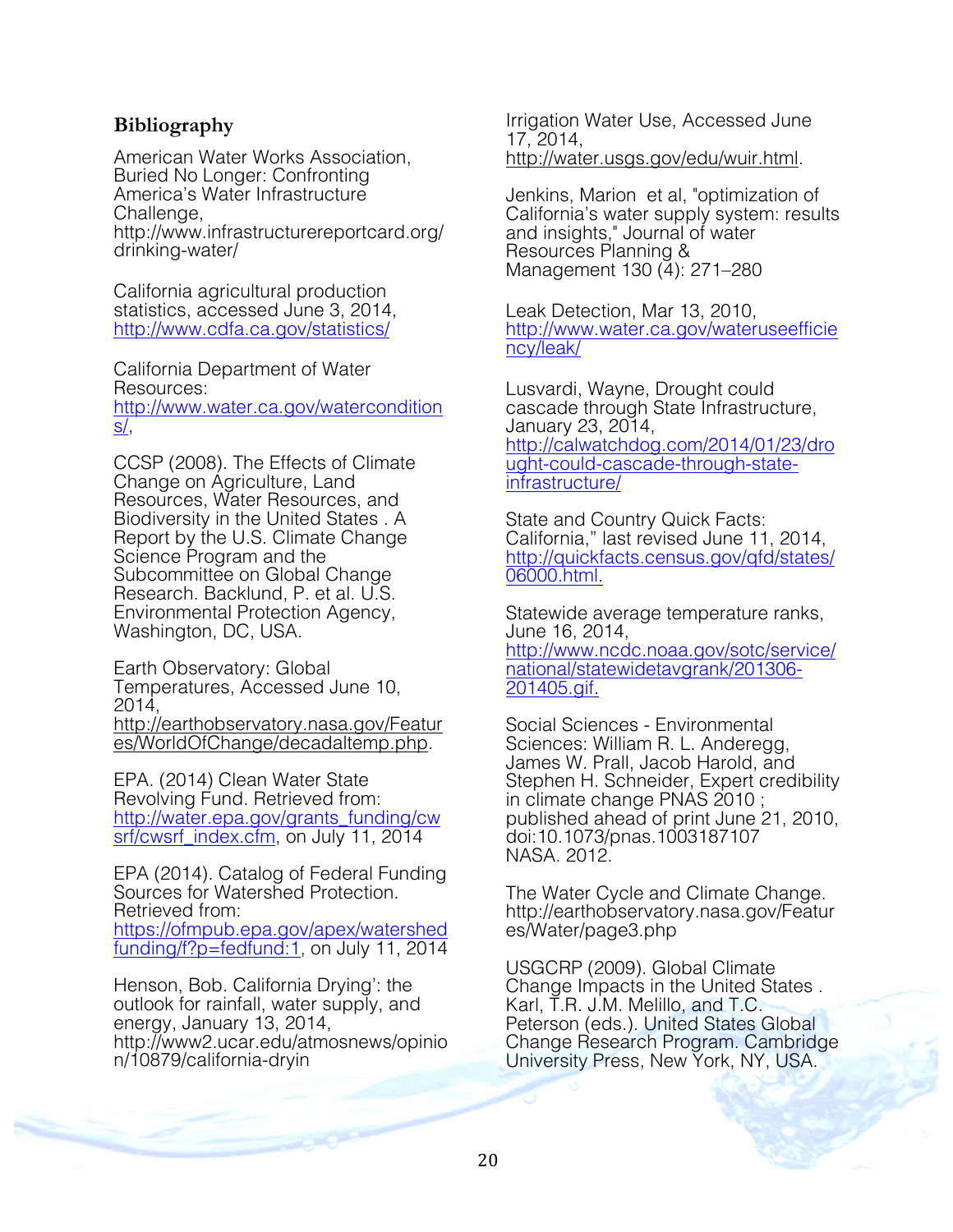## **Bibliography**

American Water Works Association, Buried No Longer: Confronting America's Water Infrastructure Challenge. http://www.infrastructurereportcard.org/ drinking-water/

California agricultural production statistics, accessed June 3, 2014, http://www.cdfa.ca.gov/statistics/

California Department of Water Resources: http://www.water.ca.gov/watercondition s/,

CCSP (2008). The Effects of Climate Change on Agriculture, Land Resources, Water Resources, and Biodiversity in the United States . A Report by the U.S. Climate Change Science Program and the Subcommittee on Global Change Research. Backlund, P. et al. U.S. Environmental Protection Agency, Washington, DC, USA.

Earth Observatory: Global Temperatures, Accessed June 10, 2014,

http://earthobservatory.nasa.gov/Featur es/WorldOfChange/decadaltemp.php.

EPA. (2014) Clean Water State Revolving Fund. Retrieved from: http://water.epa.gov/grants\_funding/cw srf/cwsrf\_index.cfm, on July 11, 2014

EPA (2014). Catalog of Federal Funding Sources for Watershed Protection. Retrieved from:

https://ofmpub.epa.gov/apex/watershed funding/f?p=fedfund:1, on July 11, 2014

Henson, Bob. California Drying': the outlook for rainfall, water supply, and energy, January 13, 2014, http://www2.ucar.edu/atmosnews/opinio n/10879/california-dryin

Irrigation Water Use, Accessed June 17, 2014, http://water.usgs.gov/edu/wuir.html.

Jenkins, Marion et al, "optimization of California's water supply system: results and insights," Journal of water Resources Planning & Management 130 (4): 271–280

Leak Detection, Mar 13, 2010, http://www.water.ca.gov/wateruseefficie ncy/leak/

Lusvardi, Wayne, Drought could cascade through State Infrastructure, January 23, 2014, http://calwatchdog.com/2014/01/23/dro ught-could-cascade-through-stateinfrastructure/

State and Country Quick Facts: California," last revised June 11, 2014, http://quickfacts.census.gov/qfd/states/ 06000.html.

Statewide average temperature ranks, June 16, 2014,

http://www.ncdc.noaa.gov/sotc/service/ national/statewidetavgrank/201306-<br>201405.gif.

Social Sciences - Environmental Sciences: William R. L. Anderegg, James W. Prall, Jacob Harold, and Stephen H. Schneider, Expert credibility in climate change PNAS 2010 ; published ahead of print June 21, 2010, doi:10.1073/pnas.1003187107 NASA. 2012.

The Water Cycle and Climate Change. http://earthobservatory.nasa.gov/Featur es/Water/page3.php

USGCRP (2009). Global Climate Change Impacts in the United States . Karl, T.R. J.M. Melillo, and T.C. Peterson (eds.). United States Global Change Research Program. Cambridge University Press, New York, NY, USA.